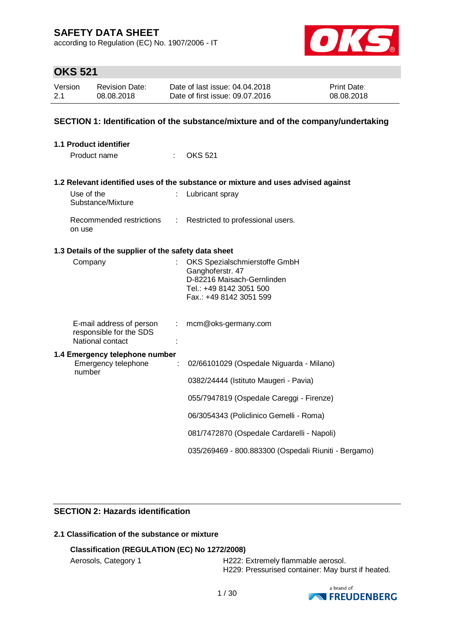according to Regulation (EC) No. 1907/2006 - IT



# **OKS 521**

| Version | <b>Revision Date:</b> | Date of last issue: 04.04.2018  | <b>Print Date:</b> |
|---------|-----------------------|---------------------------------|--------------------|
| 2.1     | 08.08.2018            | Date of first issue: 09.07.2016 | 08.08.2018         |

## **SECTION 1: Identification of the substance/mixture and of the company/undertaking**

| 1.1 Product identifier                                                        |                                                                                                                                       |
|-------------------------------------------------------------------------------|---------------------------------------------------------------------------------------------------------------------------------------|
| Product name                                                                  | <b>OKS 521</b>                                                                                                                        |
|                                                                               | 1.2 Relevant identified uses of the substance or mixture and uses advised against                                                     |
| Use of the<br>Substance/Mixture                                               | Lubricant spray                                                                                                                       |
| Recommended restrictions<br>÷<br>on use                                       | Restricted to professional users.                                                                                                     |
| 1.3 Details of the supplier of the safety data sheet                          |                                                                                                                                       |
| Company                                                                       | OKS Spezialschmierstoffe GmbH<br>Ganghoferstr. 47<br>D-82216 Maisach-Gernlinden<br>Tel.: +49 8142 3051 500<br>Fax.: +49 8142 3051 599 |
| E-mail address of person<br>÷.<br>responsible for the SDS<br>National contact | mcm@oks-germany.com                                                                                                                   |
| 1.4 Emergency telephone number<br>Emergency telephone<br>÷<br>number          | 02/66101029 (Ospedale Niguarda - Milano)                                                                                              |
|                                                                               | 0382/24444 (Istituto Maugeri - Pavia)                                                                                                 |
|                                                                               | 055/7947819 (Ospedale Careggi - Firenze)                                                                                              |
|                                                                               | 06/3054343 (Policlinico Gemelli - Roma)                                                                                               |
|                                                                               | 081/7472870 (Ospedale Cardarelli - Napoli)                                                                                            |
|                                                                               | 035/269469 - 800.883300 (Ospedali Riuniti - Bergamo)                                                                                  |

## **SECTION 2: Hazards identification**

## **2.1 Classification of the substance or mixture**

## **Classification (REGULATION (EC) No 1272/2008)**

Aerosols, Category 1 **H222: Extremely flammable aerosol.** H229: Pressurised container: May burst if heated.

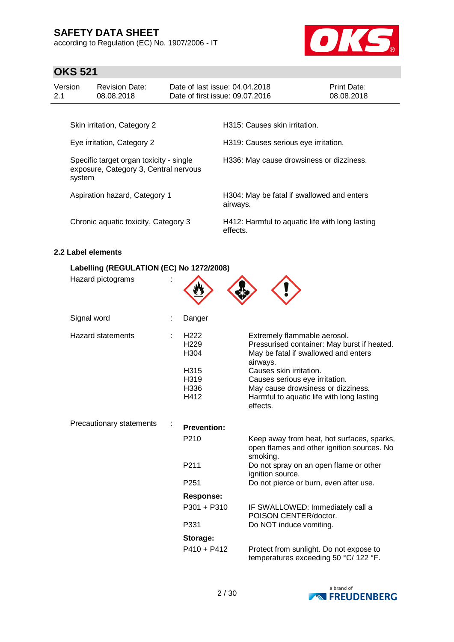according to Regulation (EC) No. 1907/2006 - IT



# **OKS 521**

| Version<br>2.1                                                                                                           | <b>Revision Date:</b><br>08.08.2018  |  | Date of last issue: 04.04.2018<br>Date of first issue: 09.07.2016                | Print Date:<br>08.08.2018 |
|--------------------------------------------------------------------------------------------------------------------------|--------------------------------------|--|----------------------------------------------------------------------------------|---------------------------|
|                                                                                                                          | Skin irritation, Category 2          |  | H315: Causes skin irritation.                                                    |                           |
| Eye irritation, Category 2<br>Specific target organ toxicity - single<br>exposure, Category 3, Central nervous<br>system |                                      |  | H319: Causes serious eye irritation.<br>H336: May cause drowsiness or dizziness. |                           |
|                                                                                                                          | Aspiration hazard, Category 1        |  | H304: May be fatal if swallowed and enters<br>airways.                           |                           |
|                                                                                                                          | Chronic aquatic toxicity, Category 3 |  | H412: Harmful to aquatic life with long lasting<br>effects.                      |                           |

### **2.2 Label elements**

## **Labelling (REGULATION (EC) No 1272/2008)**

| Hazard pictograms        |                                                                              |                                                                                                                                                                                                                                                                                             |
|--------------------------|------------------------------------------------------------------------------|---------------------------------------------------------------------------------------------------------------------------------------------------------------------------------------------------------------------------------------------------------------------------------------------|
| Signal word              | Danger                                                                       |                                                                                                                                                                                                                                                                                             |
| <b>Hazard statements</b> | H <sub>222</sub><br>H <sub>229</sub><br>H304<br>H315<br>H319<br>H336<br>H412 | Extremely flammable aerosol.<br>Pressurised container: May burst if heated.<br>May be fatal if swallowed and enters<br>airways.<br>Causes skin irritation.<br>Causes serious eye irritation.<br>May cause drowsiness or dizziness.<br>Harmful to aquatic life with long lasting<br>effects. |
| Precautionary statements | <b>Prevention:</b>                                                           |                                                                                                                                                                                                                                                                                             |
|                          | P210                                                                         | Keep away from heat, hot surfaces, sparks,<br>open flames and other ignition sources. No<br>smoking.                                                                                                                                                                                        |
|                          | P <sub>211</sub>                                                             | Do not spray on an open flame or other<br>ignition source.                                                                                                                                                                                                                                  |
|                          | P <sub>251</sub>                                                             | Do not pierce or burn, even after use.                                                                                                                                                                                                                                                      |
|                          | <b>Response:</b>                                                             |                                                                                                                                                                                                                                                                                             |
|                          | P301 + P310                                                                  | IF SWALLOWED: Immediately call a<br>POISON CENTER/doctor.                                                                                                                                                                                                                                   |
|                          | P331                                                                         | Do NOT induce vomiting.                                                                                                                                                                                                                                                                     |
|                          | Storage:                                                                     |                                                                                                                                                                                                                                                                                             |
|                          | $P410 + P412$                                                                | Protect from sunlight. Do not expose to<br>temperatures exceeding 50 °C/ 122 °F.                                                                                                                                                                                                            |

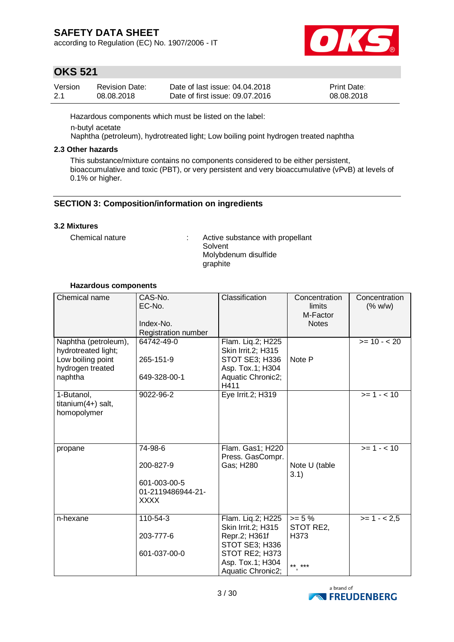according to Regulation (EC) No. 1907/2006 - IT



## **OKS 521**

| Version | <b>Revision Date:</b> | Date of last issue: 04.04.2018  | <b>Print Date:</b> |
|---------|-----------------------|---------------------------------|--------------------|
| 2.1     | 08.08.2018            | Date of first issue: 09.07.2016 | 08.08.2018         |

Hazardous components which must be listed on the label:

n-butyl acetate

Naphtha (petroleum), hydrotreated light; Low boiling point hydrogen treated naphtha

### **2.3 Other hazards**

This substance/mixture contains no components considered to be either persistent, bioaccumulative and toxic (PBT), or very persistent and very bioaccumulative (vPvB) at levels of 0.1% or higher.

## **SECTION 3: Composition/information on ingredients**

## **3.2 Mixtures**

Chemical nature : Active substance with propellant Solvent Molybdenum disulfide graphite

### **Hazardous components**

| Chemical name                                                                                   | CAS-No.<br>EC-No.<br>Index-No.<br>Registration number                    | Classification                                                                                                                               | Concentration<br>limits<br>M-Factor<br><b>Notes</b> | Concentration<br>(% w/w)  |
|-------------------------------------------------------------------------------------------------|--------------------------------------------------------------------------|----------------------------------------------------------------------------------------------------------------------------------------------|-----------------------------------------------------|---------------------------|
| Naphtha (petroleum),<br>hydrotreated light;<br>Low boiling point<br>hydrogen treated<br>naphtha | 64742-49-0<br>265-151-9<br>649-328-00-1                                  | Flam. Liq.2; H225<br><b>Skin Irrit.2; H315</b><br>STOT SE3; H336<br>Asp. Tox.1; H304<br>Aquatic Chronic2;<br>H411                            | Note P                                              | $>= 10 - 20$              |
| 1-Butanol,<br>titanium $(4+)$ salt,<br>homopolymer                                              | 9022-96-2                                                                | Eye Irrit.2; H319                                                                                                                            |                                                     | $>= 1 - 10$               |
| propane                                                                                         | 74-98-6<br>200-827-9<br>601-003-00-5<br>01-2119486944-21-<br><b>XXXX</b> | Flam. Gas1; H220<br>Press. GasCompr.<br>Gas; H280                                                                                            | Note U (table<br>3.1)                               | $>= 1 - 10$               |
| n-hexane                                                                                        | 110-54-3<br>203-777-6<br>601-037-00-0                                    | Flam. Liq.2; H225<br><b>Skin Irrit.2; H315</b><br>Repr.2; H361f<br>STOT SE3; H336<br>STOT RE2; H373<br>Asp. Tox.1; H304<br>Aquatic Chronic2; | $>= 5 \%$<br>STOT RE2,<br>H373<br>** ***            | $\overline{>=}$ 1 - < 2,5 |

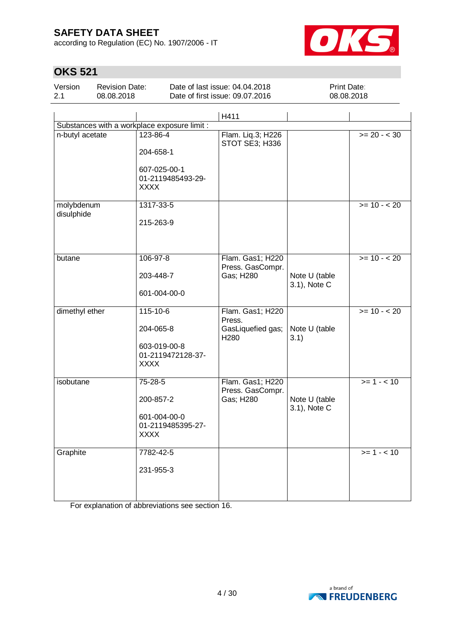according to Regulation (EC) No. 1907/2006 - IT



# **OKS 521**

| Version | <b>Revision Date:</b> | Date of last issue: 04.04.2018  | <b>Print Date:</b> |
|---------|-----------------------|---------------------------------|--------------------|
| 2.1     | 08.08.2018            | Date of first issue: 09.07.2016 | 08.08.2018         |
|         |                       |                                 |                    |

|                                              |                                  | H411                                  |                               |              |
|----------------------------------------------|----------------------------------|---------------------------------------|-------------------------------|--------------|
| Substances with a workplace exposure limit : |                                  |                                       |                               |              |
| n-butyl acetate                              | 123-86-4                         | Flam. Liq.3; H226<br>STOT SE3; H336   |                               | $>= 20 - 30$ |
|                                              | 204-658-1                        |                                       |                               |              |
|                                              | 607-025-00-1                     |                                       |                               |              |
|                                              | 01-2119485493-29-<br><b>XXXX</b> |                                       |                               |              |
|                                              |                                  |                                       |                               |              |
| molybdenum<br>disulphide                     | 1317-33-5                        |                                       |                               | $>= 10 - 20$ |
|                                              | 215-263-9                        |                                       |                               |              |
|                                              |                                  |                                       |                               |              |
|                                              |                                  |                                       |                               |              |
| butane                                       | 106-97-8                         | Flam. Gas1; H220<br>Press. GasCompr.  |                               | $>= 10 - 20$ |
|                                              | 203-448-7                        | Gas; H280                             | Note U (table                 |              |
|                                              | 601-004-00-0                     |                                       | 3.1), Note C                  |              |
|                                              |                                  |                                       |                               |              |
| dimethyl ether                               | $115 - 10 - 6$                   | Flam. Gas1; H220<br>Press.            |                               | $>= 10 - 20$ |
|                                              | 204-065-8                        | GasLiquefied gas;<br>H <sub>280</sub> | Note U (table<br>3.1)         |              |
|                                              | 603-019-00-8                     |                                       |                               |              |
|                                              | 01-2119472128-37-<br><b>XXXX</b> |                                       |                               |              |
|                                              |                                  |                                       |                               |              |
| isobutane                                    | 75-28-5                          | Flam. Gas1; H220<br>Press. GasCompr.  |                               | $>= 1 - 10$  |
|                                              | 200-857-2                        | Gas; H280                             | Note U (table<br>3.1), Note C |              |
|                                              | 601-004-00-0                     |                                       |                               |              |
|                                              | 01-2119485395-27-                |                                       |                               |              |
|                                              | XXXX                             |                                       |                               |              |
| Graphite                                     | 7782-42-5                        |                                       |                               | $>= 1 - 10$  |
|                                              | 231-955-3                        |                                       |                               |              |
|                                              |                                  |                                       |                               |              |
|                                              |                                  |                                       |                               |              |

For explanation of abbreviations see section 16.

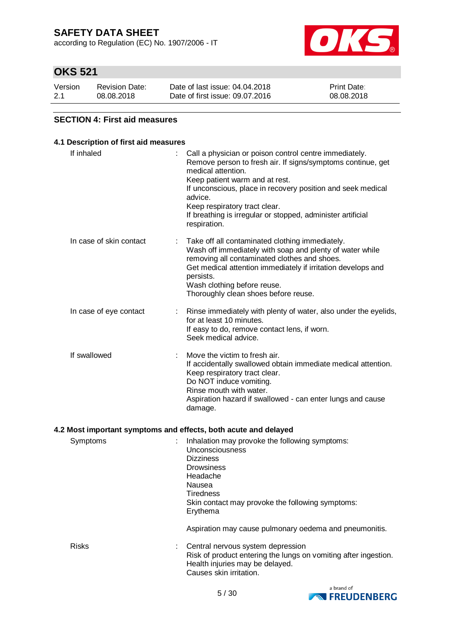according to Regulation (EC) No. 1907/2006 - IT



## **OKS 521**

| Version | <b>Revision Date:</b> | Date of last issue: 04.04.2018  | <b>Print Date:</b> |
|---------|-----------------------|---------------------------------|--------------------|
| 2.1     | 08.08.2018            | Date of first issue: 09.07.2016 | 08.08.2018         |

## **SECTION 4: First aid measures**

## **4.1 Description of first aid measures**

| If inhaled              | Call a physician or poison control centre immediately.<br>Remove person to fresh air. If signs/symptoms continue, get<br>medical attention.<br>Keep patient warm and at rest.<br>If unconscious, place in recovery position and seek medical<br>advice.<br>Keep respiratory tract clear.<br>If breathing is irregular or stopped, administer artificial<br>respiration. |
|-------------------------|-------------------------------------------------------------------------------------------------------------------------------------------------------------------------------------------------------------------------------------------------------------------------------------------------------------------------------------------------------------------------|
| In case of skin contact | Take off all contaminated clothing immediately.<br>Wash off immediately with soap and plenty of water while<br>removing all contaminated clothes and shoes.<br>Get medical attention immediately if irritation develops and<br>persists.<br>Wash clothing before reuse.<br>Thoroughly clean shoes before reuse.                                                         |
| In case of eye contact  | Rinse immediately with plenty of water, also under the eyelids,<br>for at least 10 minutes.<br>If easy to do, remove contact lens, if worn.<br>Seek medical advice.                                                                                                                                                                                                     |
| If swallowed            | Move the victim to fresh air.<br>If accidentally swallowed obtain immediate medical attention.<br>Keep respiratory tract clear.<br>Do NOT induce vomiting.<br>Rinse mouth with water.<br>Aspiration hazard if swallowed - can enter lungs and cause<br>damage.                                                                                                          |
|                         | 4.2 Most important symptoms and effects, both acute and delayed                                                                                                                                                                                                                                                                                                         |
| Symptoms                | Inhalation may provoke the following symptoms:<br>Unconsciousness<br><b>Dizziness</b><br><b>Drowsiness</b><br>Headache<br>Nausea<br><b>Tiredness</b><br>والمتقارب المتوافق والمعارض الموارد<br>$\sim$ $\sim$                                                                                                                                                            |

Skin contact may provoke the following symptoms: Erythema

Aspiration may cause pulmonary oedema and pneumonitis.



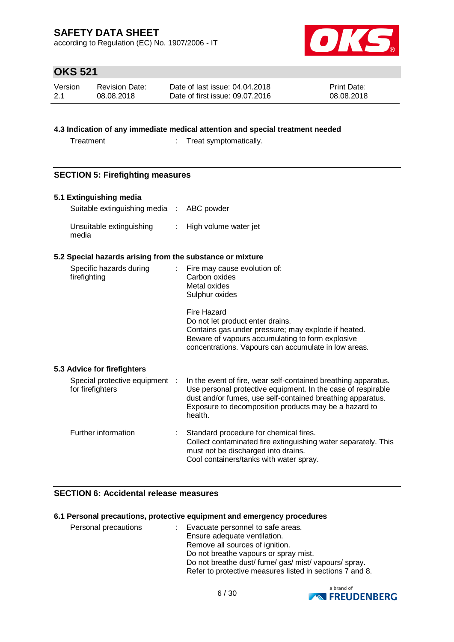according to Regulation (EC) No. 1907/2006 - IT



# **OKS 521**

| Version | <b>Revision Date:</b> | Date of last issue: 04.04.2018  | <b>Print Date:</b> |
|---------|-----------------------|---------------------------------|--------------------|
| -2.1    | 08.08.2018            | Date of first issue: 09.07.2016 | 08.08.2018         |

## **4.3 Indication of any immediate medical attention and special treatment needed**

Treatment : Treat symptomatically.

## **SECTION 5: Firefighting measures**

### **5.1 Extinguishing media**

| Suitable extinguishing media : ABC powder |                         |
|-------------------------------------------|-------------------------|
| Unsuitable extinguishing<br>media         | : High volume water jet |

### **5.2 Special hazards arising from the substance or mixture**

| Specific hazards during<br>firefighting            | Fire may cause evolution of:<br>t.<br>Carbon oxides<br>Metal oxides<br>Sulphur oxides                                                                                                                                                                            |
|----------------------------------------------------|------------------------------------------------------------------------------------------------------------------------------------------------------------------------------------------------------------------------------------------------------------------|
|                                                    | Fire Hazard<br>Do not let product enter drains.<br>Contains gas under pressure; may explode if heated.<br>Beware of vapours accumulating to form explosive<br>concentrations. Vapours can accumulate in low areas.                                               |
| 5.3 Advice for firefighters                        |                                                                                                                                                                                                                                                                  |
| Special protective equipment :<br>for firefighters | In the event of fire, wear self-contained breathing apparatus.<br>Use personal protective equipment. In the case of respirable<br>dust and/or fumes, use self-contained breathing apparatus.<br>Exposure to decomposition products may be a hazard to<br>health. |
| Further information                                | Standard procedure for chemical fires.<br>Collect contaminated fire extinguishing water separately. This<br>must not be discharged into drains.<br>Cool containers/tanks with water spray.                                                                       |

## **SECTION 6: Accidental release measures**

#### **6.1 Personal precautions, protective equipment and emergency procedures**

| Personal precautions | : Evacuate personnel to safe areas.<br>Ensure adequate ventilation.<br>Remove all sources of ignition.<br>Do not breathe vapours or spray mist.<br>Do not breathe dust/ fume/ gas/ mist/ vapours/ spray.<br>Refer to protective measures listed in sections 7 and 8. |
|----------------------|----------------------------------------------------------------------------------------------------------------------------------------------------------------------------------------------------------------------------------------------------------------------|
|                      |                                                                                                                                                                                                                                                                      |

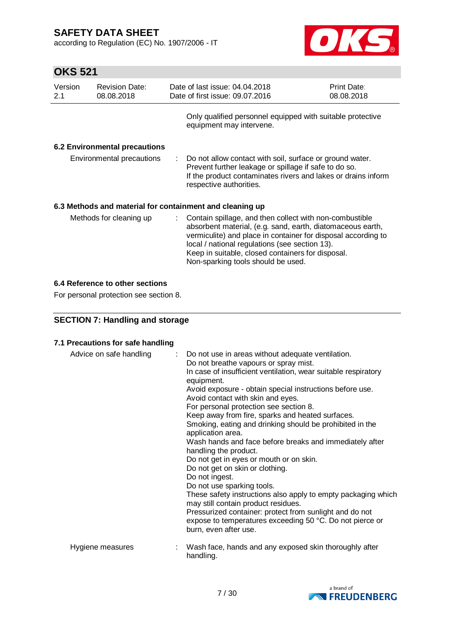according to Regulation (EC) No. 1907/2006 - IT



# **OKS 521**

| Version<br>2.1 | <b>Revision Date:</b><br>08.08.2018 |                | Date of last issue: 04.04.2018<br>Date of first issue: 09.07.2016                                                                                                                                                                                                                                                                     | Print Date:<br>08.08.2018 |
|----------------|-------------------------------------|----------------|---------------------------------------------------------------------------------------------------------------------------------------------------------------------------------------------------------------------------------------------------------------------------------------------------------------------------------------|---------------------------|
|                |                                     |                | Only qualified personnel equipped with suitable protective<br>equipment may intervene.                                                                                                                                                                                                                                                |                           |
|                | 6.2 Environmental precautions       |                |                                                                                                                                                                                                                                                                                                                                       |                           |
|                | Environmental precautions           | $\mathbb{R}^n$ | Do not allow contact with soil, surface or ground water.<br>Prevent further leakage or spillage if safe to do so.<br>If the product contaminates rivers and lakes or drains inform<br>respective authorities.                                                                                                                         |                           |
|                |                                     |                | 6.3 Methods and material for containment and cleaning up                                                                                                                                                                                                                                                                              |                           |
|                | Methods for cleaning up             |                | : Contain spillage, and then collect with non-combustible<br>absorbent material, (e.g. sand, earth, diatomaceous earth,<br>vermiculite) and place in container for disposal according to<br>local / national regulations (see section 13).<br>Keep in suitable, closed containers for disposal.<br>Non-sparking tools should be used. |                           |

## **6.4 Reference to other sections**

For personal protection see section 8.

## **SECTION 7: Handling and storage**

### **7.1 Precautions for safe handling**

| Advice on safe handling | : Do not use in areas without adequate ventilation.<br>Do not breathe vapours or spray mist.<br>In case of insufficient ventilation, wear suitable respiratory<br>equipment.<br>Avoid exposure - obtain special instructions before use.<br>Avoid contact with skin and eyes.<br>For personal protection see section 8.<br>Keep away from fire, sparks and heated surfaces.<br>Smoking, eating and drinking should be prohibited in the<br>application area.<br>Wash hands and face before breaks and immediately after<br>handling the product.<br>Do not get in eyes or mouth or on skin.<br>Do not get on skin or clothing.<br>Do not ingest.<br>Do not use sparking tools.<br>These safety instructions also apply to empty packaging which<br>may still contain product residues.<br>Pressurized container: protect from sunlight and do not<br>expose to temperatures exceeding 50 °C. Do not pierce or<br>burn, even after use. |
|-------------------------|----------------------------------------------------------------------------------------------------------------------------------------------------------------------------------------------------------------------------------------------------------------------------------------------------------------------------------------------------------------------------------------------------------------------------------------------------------------------------------------------------------------------------------------------------------------------------------------------------------------------------------------------------------------------------------------------------------------------------------------------------------------------------------------------------------------------------------------------------------------------------------------------------------------------------------------|
| Hygiene measures        | Wash face, hands and any exposed skin thoroughly after<br>handling.                                                                                                                                                                                                                                                                                                                                                                                                                                                                                                                                                                                                                                                                                                                                                                                                                                                                    |

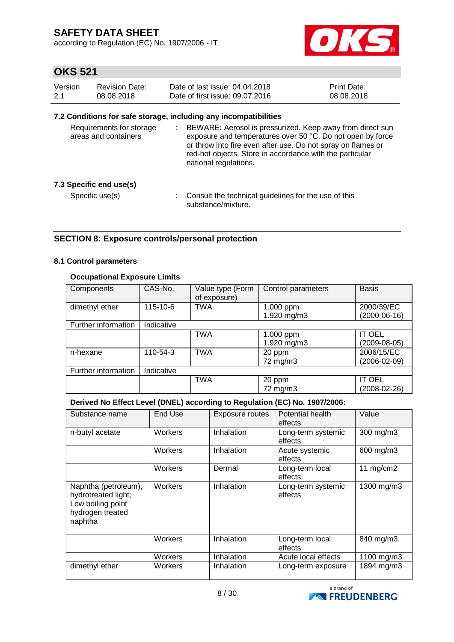according to Regulation (EC) No. 1907/2006 - IT



## **OKS 521**

| Version | Revision Date: | Date of last issue: 04.04.2018  | <b>Print Date:</b> |
|---------|----------------|---------------------------------|--------------------|
| -2.1    | 08.08.2018     | Date of first issue: 09.07.2016 | 08.08.2018         |

### **7.2 Conditions for safe storage, including any incompatibilities**

| Requirements for storage<br>areas and containers | ÷. | BEWARE: Aerosol is pressurized. Keep away from direct sun<br>exposure and temperatures over 50 °C. Do not open by force<br>or throw into fire even after use. Do not spray on flames or<br>red-hot objects. Store in accordance with the particular<br>national regulations. |
|--------------------------------------------------|----|------------------------------------------------------------------------------------------------------------------------------------------------------------------------------------------------------------------------------------------------------------------------------|
| 7.3 Specific end use(s)                          |    |                                                                                                                                                                                                                                                                              |
| Specific use(s)                                  |    | Consult the technical guidelines for the use of this<br>substance/mixture.                                                                                                                                                                                                   |

## **SECTION 8: Exposure controls/personal protection**

#### **8.1 Control parameters**

### **Occupational Exposure Limits**

| Components          | CAS-No.    | Value type (Form<br>of exposure) | Control parameters | <b>Basis</b>       |
|---------------------|------------|----------------------------------|--------------------|--------------------|
| dimethyl ether      | 115-10-6   | TWA                              | 1.000 ppm          | 2000/39/EC         |
|                     |            |                                  | 1.920 mg/m3        | $(2000-06-16)$     |
| Further information | Indicative |                                  |                    |                    |
|                     |            | <b>TWA</b>                       | 1.000 ppm          | <b>IT OEL</b>      |
|                     |            |                                  | 1.920 mg/m3        | (2009-08-05)       |
| n-hexane            | 110-54-3   | <b>TWA</b>                       | 20 ppm             | 2006/15/EC         |
|                     |            |                                  | 72 mg/m3           | $(2006 - 02 - 09)$ |
| Further information | Indicative |                                  |                    |                    |
|                     |            | <b>TWA</b>                       | 20 ppm             | <b>IT OEL</b>      |
|                     |            |                                  | 72 mg/m3           | (2008-02-26)       |

### **Derived No Effect Level (DNEL) according to Regulation (EC) No. 1907/2006:**

| Substance name                                                                                  | End Use        | Exposure routes | Potential health<br>effects   | Value       |
|-------------------------------------------------------------------------------------------------|----------------|-----------------|-------------------------------|-------------|
| n-butyl acetate                                                                                 | <b>Workers</b> | Inhalation      | Long-term systemic<br>effects | 300 mg/m3   |
|                                                                                                 | <b>Workers</b> | Inhalation      | Acute systemic<br>effects     | 600 mg/m3   |
|                                                                                                 | Workers        | Dermal          | Long-term local<br>effects    | 11 $mg/cm2$ |
| Naphtha (petroleum),<br>hydrotreated light;<br>Low boiling point<br>hydrogen treated<br>naphtha | <b>Workers</b> | Inhalation      | Long-term systemic<br>effects | 1300 mg/m3  |
|                                                                                                 | Workers        | Inhalation      | Long-term local<br>effects    | 840 mg/m3   |
|                                                                                                 | <b>Workers</b> | Inhalation      | Acute local effects           | 1100 mg/m3  |
| dimethyl ether                                                                                  | Workers        | Inhalation      | Long-term exposure            | 1894 mg/m3  |

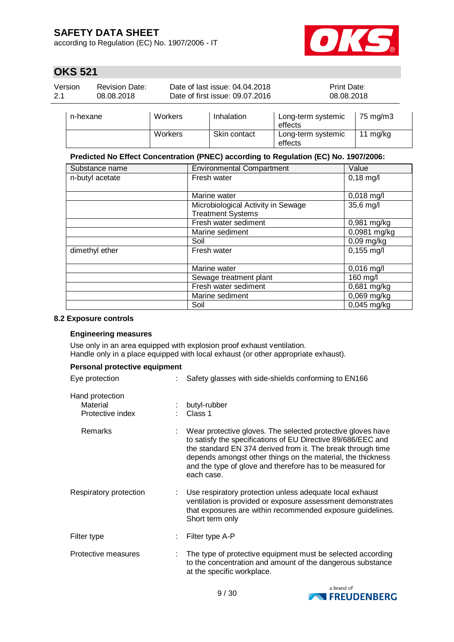according to Regulation (EC) No. 1907/2006 - IT



## **OKS 521**

| Version | Revision Date: | Date of last issue: 04.04.2018  | <b>Print Date:</b> |
|---------|----------------|---------------------------------|--------------------|
| -2.1    | 08.08.2018     | Date of first issue: 09.07.2016 | 08.08.2018         |
|         |                |                                 |                    |

| n-hexane | Workers | Inhalation   | Long-term systemic<br>effects | 75 ma/m3 |
|----------|---------|--------------|-------------------------------|----------|
|          | Workers | Skin contact | Long-term systemic<br>effects | 11 mg/kg |

### **Predicted No Effect Concentration (PNEC) according to Regulation (EC) No. 1907/2006:**

| Substance name  | <b>Environmental Compartment</b>   | Value         |
|-----------------|------------------------------------|---------------|
| n-butyl acetate | Fresh water                        | $0,18$ mg/l   |
|                 |                                    |               |
|                 | Marine water                       | $0,018$ mg/l  |
|                 | Microbiological Activity in Sewage | 35,6 mg/l     |
|                 | <b>Treatment Systems</b>           |               |
|                 | Fresh water sediment               | 0,981 mg/kg   |
|                 | Marine sediment                    | 0,0981 mg/kg  |
|                 | Soil                               | $0,09$ mg/kg  |
| dimethyl ether  | Fresh water                        | $0,155$ mg/l  |
|                 |                                    |               |
|                 | Marine water                       | $0,016$ mg/l  |
|                 | Sewage treatment plant             | 160 mg/l      |
|                 | Fresh water sediment               | 0,681 mg/kg   |
|                 | Marine sediment                    | 0,069 mg/kg   |
|                 | Soil                               | $0,045$ mg/kg |

#### **8.2 Exposure controls**

### **Engineering measures**

Use only in an area equipped with explosion proof exhaust ventilation. Handle only in a place equipped with local exhaust (or other appropriate exhaust).

| Personal protective equipment                   |  |                                                                                                                                                                                                                                                                                                                                       |  |
|-------------------------------------------------|--|---------------------------------------------------------------------------------------------------------------------------------------------------------------------------------------------------------------------------------------------------------------------------------------------------------------------------------------|--|
| Eye protection                                  |  | Safety glasses with side-shields conforming to EN166                                                                                                                                                                                                                                                                                  |  |
| Hand protection<br>Material<br>Protective index |  | butyl-rubber<br>Class 1                                                                                                                                                                                                                                                                                                               |  |
| Remarks                                         |  | Wear protective gloves. The selected protective gloves have<br>to satisfy the specifications of EU Directive 89/686/EEC and<br>the standard EN 374 derived from it. The break through time<br>depends amongst other things on the material, the thickness<br>and the type of glove and therefore has to be measured for<br>each case. |  |
| Respiratory protection                          |  | Use respiratory protection unless adequate local exhaust<br>ventilation is provided or exposure assessment demonstrates<br>that exposures are within recommended exposure guidelines.<br>Short term only                                                                                                                              |  |
| Filter type                                     |  | Filter type A-P                                                                                                                                                                                                                                                                                                                       |  |
| Protective measures                             |  | The type of protective equipment must be selected according<br>to the concentration and amount of the dangerous substance<br>at the specific workplace.                                                                                                                                                                               |  |

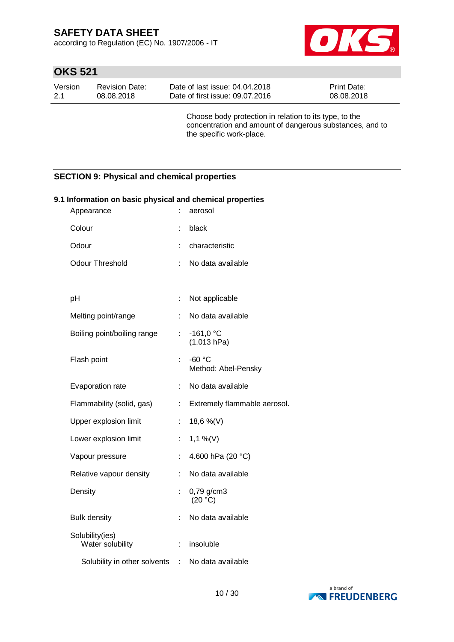according to Regulation (EC) No. 1907/2006 - IT



# **OKS 521**

| Version | Revision Date: | Date of last issue: 04.04.2018  | <b>Print Date:</b> |
|---------|----------------|---------------------------------|--------------------|
| $-2.1$  | 08.08.2018     | Date of first issue: 09.07.2016 | 08.08.2018         |

Choose body protection in relation to its type, to the concentration and amount of dangerous substances, and to the specific work-place.

## **SECTION 9: Physical and chemical properties**

| 9.1 Information on basic physical and chemical properties |                             |                                 |  |  |  |
|-----------------------------------------------------------|-----------------------------|---------------------------------|--|--|--|
| Appearance                                                | ÷                           | aerosol                         |  |  |  |
| Colour                                                    | t                           | black                           |  |  |  |
| Odour                                                     | ÷.                          | characteristic                  |  |  |  |
| <b>Odour Threshold</b>                                    | ÷.                          | No data available               |  |  |  |
|                                                           |                             |                                 |  |  |  |
| pH                                                        | ÷                           | Not applicable                  |  |  |  |
| Melting point/range                                       | ÷.                          | No data available               |  |  |  |
| Boiling point/boiling range                               | $\mathcal{L}_{\mathcal{A}}$ | $-161,0 °C$<br>(1.013 hPa)      |  |  |  |
| Flash point                                               | ÷                           | $-60 °C$<br>Method: Abel-Pensky |  |  |  |
| Evaporation rate                                          | ÷.                          | No data available               |  |  |  |
| Flammability (solid, gas)                                 | ÷.                          | Extremely flammable aerosol.    |  |  |  |
| Upper explosion limit                                     | ÷                           | 18,6 %(V)                       |  |  |  |
| Lower explosion limit                                     | t.                          | $1,1\%$ (V)                     |  |  |  |
| Vapour pressure                                           | t.                          | 4.600 hPa (20 °C)               |  |  |  |
| Relative vapour density                                   | ÷.                          | No data available               |  |  |  |
| Density                                                   |                             | 0,79 g/cm3<br>(20 °C)           |  |  |  |
| <b>Bulk density</b>                                       |                             | No data available               |  |  |  |
| Solubility(ies)<br>Water solubility                       | ÷                           | insoluble                       |  |  |  |
| Solubility in other solvents                              | $\mathcal{L}$               | No data available               |  |  |  |

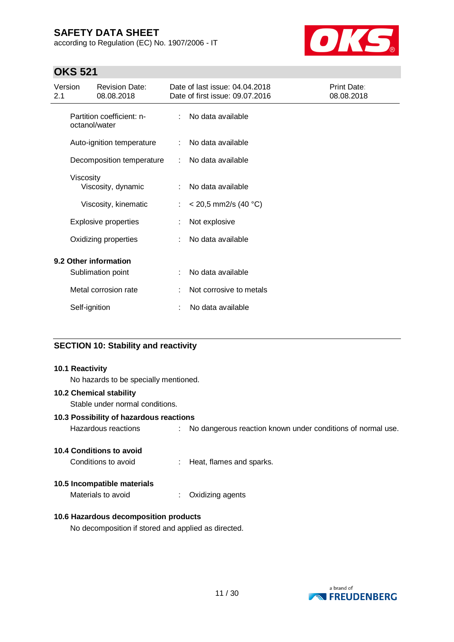according to Regulation (EC) No. 1907/2006 - IT



## **OKS 521**

| Version<br>2.1 |               | <b>Revision Date:</b><br>08.08.2018        |    | Date of last issue: 04.04.2018<br>Date of first issue: 09.07.2016 | Print Date:<br>08.08.2018 |
|----------------|---------------|--------------------------------------------|----|-------------------------------------------------------------------|---------------------------|
|                | octanol/water | Partition coefficient: n-                  | ÷. | No data available                                                 |                           |
|                |               | Auto-ignition temperature                  | ÷  | No data available                                                 |                           |
|                |               | Decomposition temperature                  | ÷  | No data available                                                 |                           |
|                | Viscosity     | Viscosity, dynamic                         | ÷  | No data available                                                 |                           |
|                |               | Viscosity, kinematic                       | ÷  | $<$ 20,5 mm2/s (40 °C)                                            |                           |
|                |               | <b>Explosive properties</b>                |    | Not explosive                                                     |                           |
|                |               | Oxidizing properties                       | ÷  | No data available                                                 |                           |
|                |               | 9.2 Other information<br>Sublimation point | ÷  | No data available                                                 |                           |
|                |               | Metal corrosion rate                       |    | Not corrosive to metals                                           |                           |
|                | Self-ignition |                                            |    | No data available                                                 |                           |

## **SECTION 10: Stability and reactivity**

#### **10.1 Reactivity**

No hazards to be specially mentioned.

### **10.2 Chemical stability**

Stable under normal conditions.

### **10.3 Possibility of hazardous reactions**

| Hazardous reactions |  | No dangerous reaction known under conditions of normal use. |
|---------------------|--|-------------------------------------------------------------|
|---------------------|--|-------------------------------------------------------------|

### **10.4 Conditions to avoid**

Conditions to avoid : Heat, flames and sparks.

### **10.5 Incompatible materials**

Materials to avoid : Oxidizing agents

## **10.6 Hazardous decomposition products**

No decomposition if stored and applied as directed.

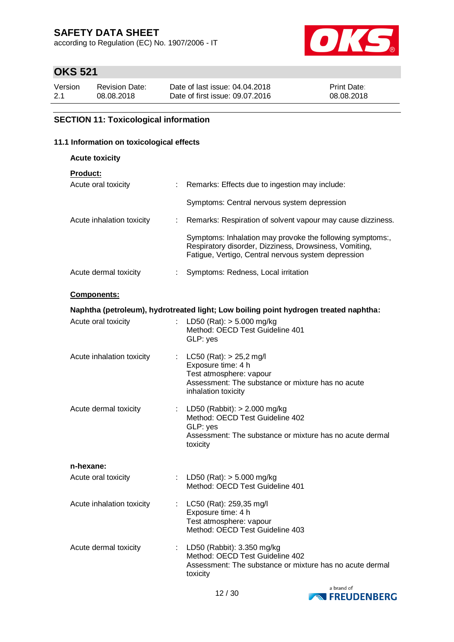according to Regulation (EC) No. 1907/2006 - IT



## **OKS 521**

| Version | <b>Revision Date:</b> | Date of last issue: 04.04.2018  | <b>Print Date:</b> |
|---------|-----------------------|---------------------------------|--------------------|
| 2.1     | 08.08.2018            | Date of first issue: 09.07.2016 | 08.08.2018         |

## **SECTION 11: Toxicological information**

#### **11.1 Information on toxicological effects**

| 1 Information on toxicological effects |    |                                                                                                                                                                            |  |  |
|----------------------------------------|----|----------------------------------------------------------------------------------------------------------------------------------------------------------------------------|--|--|
| <b>Acute toxicity</b>                  |    |                                                                                                                                                                            |  |  |
| <b>Product:</b><br>Acute oral toxicity | ÷  | Remarks: Effects due to ingestion may include:                                                                                                                             |  |  |
|                                        |    | Symptoms: Central nervous system depression                                                                                                                                |  |  |
| Acute inhalation toxicity              | ÷  | Remarks: Respiration of solvent vapour may cause dizziness.                                                                                                                |  |  |
|                                        |    | Symptoms: Inhalation may provoke the following symptoms:,<br>Respiratory disorder, Dizziness, Drowsiness, Vomiting,<br>Fatigue, Vertigo, Central nervous system depression |  |  |
| Acute dermal toxicity                  | t. | Symptoms: Redness, Local irritation                                                                                                                                        |  |  |
| Components:                            |    |                                                                                                                                                                            |  |  |
|                                        |    | Naphtha (petroleum), hydrotreated light; Low boiling point hydrogen treated naphtha:                                                                                       |  |  |
| Acute oral toxicity                    |    | LD50 (Rat): $> 5.000$ mg/kg<br>Method: OECD Test Guideline 401<br>GLP: yes                                                                                                 |  |  |
| Acute inhalation toxicity              | ÷  | LC50 (Rat): > 25,2 mg/l<br>Exposure time: 4 h<br>Test atmosphere: vapour<br>Assessment: The substance or mixture has no acute<br>inhalation toxicity                       |  |  |
| Acute dermal toxicity                  |    | LD50 (Rabbit): $> 2.000$ mg/kg<br>Method: OECD Test Guideline 402<br>GLP: yes<br>Assessment: The substance or mixture has no acute dermal<br>toxicity                      |  |  |
| n-hexane:                              |    |                                                                                                                                                                            |  |  |
| Acute oral toxicity                    |    | LD50 (Rat): > 5.000 mg/kg<br>Method: OECD Test Guideline 401                                                                                                               |  |  |
| Acute inhalation toxicity              | t. | LC50 (Rat): 259,35 mg/l<br>Exposure time: 4 h                                                                                                                              |  |  |

Acute dermal toxicity : LD50 (Rabbit): 3.350 mg/kg Method: OECD Test Guideline 402 Assessment: The substance or mixture has no acute dermal toxicity

Test atmosphere: vapour

Method: OECD Test Guideline 403

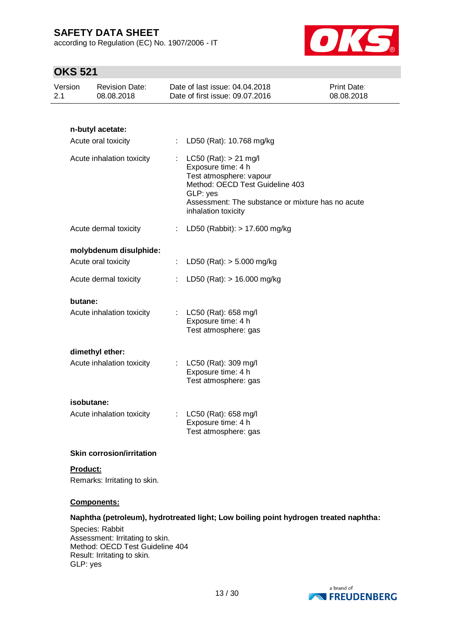according to Regulation (EC) No. 1907/2006 - IT



# **OKS 521**

| UNJ JZ I                  |                                     |    |                                                                                                                                                                                                       |                           |
|---------------------------|-------------------------------------|----|-------------------------------------------------------------------------------------------------------------------------------------------------------------------------------------------------------|---------------------------|
| Version<br>2.1            | <b>Revision Date:</b><br>08.08.2018 |    | Date of last issue: 04.04.2018<br>Date of first issue: 09.07.2016                                                                                                                                     | Print Date:<br>08.08.2018 |
|                           |                                     |    |                                                                                                                                                                                                       |                           |
|                           | n-butyl acetate:                    |    |                                                                                                                                                                                                       |                           |
|                           | Acute oral toxicity                 | t. | LD50 (Rat): 10.768 mg/kg                                                                                                                                                                              |                           |
| Acute inhalation toxicity |                                     | ÷. | $LC50$ (Rat): $> 21$ mg/l<br>Exposure time: 4 h<br>Test atmosphere: vapour<br>Method: OECD Test Guideline 403<br>GLP: yes<br>Assessment: The substance or mixture has no acute<br>inhalation toxicity |                           |
|                           | Acute dermal toxicity               |    | : LD50 (Rabbit): $> 17.600$ mg/kg                                                                                                                                                                     |                           |
|                           | molybdenum disulphide:              |    |                                                                                                                                                                                                       |                           |
|                           | Acute oral toxicity                 | ÷. | LD50 (Rat): $> 5.000$ mg/kg                                                                                                                                                                           |                           |
|                           | Acute dermal toxicity               |    | LD50 (Rat): > 16.000 mg/kg                                                                                                                                                                            |                           |
| butane:                   |                                     |    |                                                                                                                                                                                                       |                           |
|                           | Acute inhalation toxicity           |    | LC50 (Rat): 658 mg/l<br>Exposure time: 4 h<br>Test atmosphere: gas                                                                                                                                    |                           |
|                           | dimethyl ether:                     |    |                                                                                                                                                                                                       |                           |
|                           | Acute inhalation toxicity           |    | : LC50 (Rat): 309 mg/l<br>Exposure time: 4 h<br>Test atmosphere: gas                                                                                                                                  |                           |
|                           | isobutane:                          |    |                                                                                                                                                                                                       |                           |
|                           | Acute inhalation toxicity           |    | LC50 (Rat): 658 mg/l<br>Exposure time: 4 h<br>Test atmosphere: gas                                                                                                                                    |                           |
|                           | <b>Skin corrosion/irritation</b>    |    |                                                                                                                                                                                                       |                           |

## **Product:**

Remarks: Irritating to skin.

### **Components:**

### **Naphtha (petroleum), hydrotreated light; Low boiling point hydrogen treated naphtha:**

Species: Rabbit Assessment: Irritating to skin. Method: OECD Test Guideline 404 Result: Irritating to skin. GLP: yes

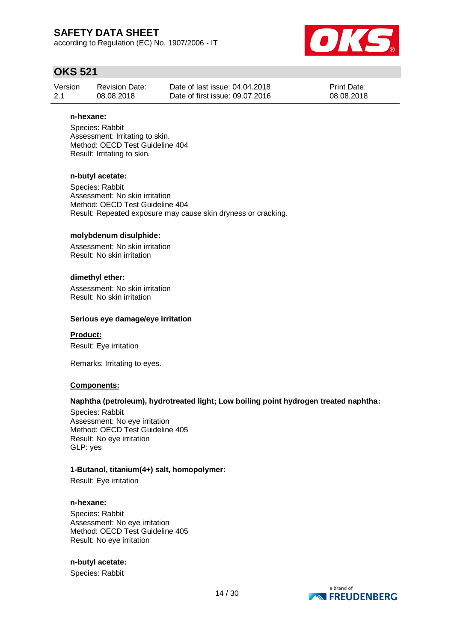according to Regulation (EC) No. 1907/2006 - IT



## **OKS 521**

| Version | <b>Revision Date:</b> | Date of last issue: 04.04.2018  | <b>Print Date:</b> |
|---------|-----------------------|---------------------------------|--------------------|
| -2.1    | 08.08.2018            | Date of first issue: 09.07.2016 | 08.08.2018         |

#### **n-hexane:**

Species: Rabbit Assessment: Irritating to skin. Method: OECD Test Guideline 404 Result: Irritating to skin.

#### **n-butyl acetate:**

Species: Rabbit Assessment: No skin irritation Method: OECD Test Guideline 404 Result: Repeated exposure may cause skin dryness or cracking.

#### **molybdenum disulphide:**

Assessment: No skin irritation Result: No skin irritation

### **dimethyl ether:**

Assessment: No skin irritation Result: No skin irritation

#### **Serious eye damage/eye irritation**

**Product:**

Result: Eye irritation

Remarks: Irritating to eyes.

### **Components:**

### **Naphtha (petroleum), hydrotreated light; Low boiling point hydrogen treated naphtha:**

Species: Rabbit Assessment: No eye irritation Method: OECD Test Guideline 405 Result: No eye irritation GLP: yes

### **1-Butanol, titanium(4+) salt, homopolymer:**

Result: Eye irritation

#### **n-hexane:**

Species: Rabbit Assessment: No eye irritation Method: OECD Test Guideline 405 Result: No eye irritation

### **n-butyl acetate:**

Species: Rabbit

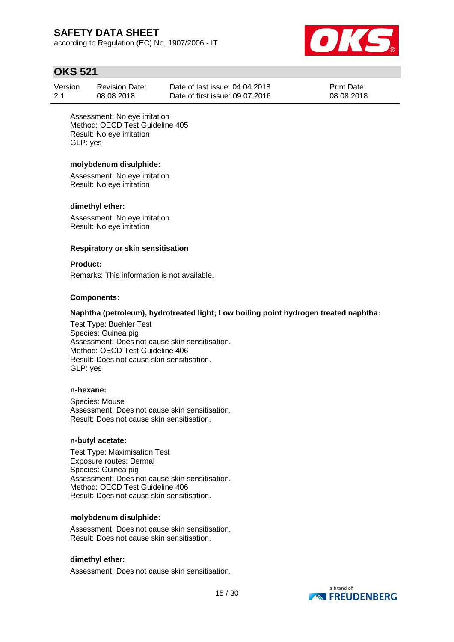according to Regulation (EC) No. 1907/2006 - IT



## **OKS 521**

| Version | <b>Revision Date:</b> | Date of last issue: 04.04.2018  | <b>Print Date:</b> |
|---------|-----------------------|---------------------------------|--------------------|
| 2.1     | 08.08.2018            | Date of first issue: 09.07.2016 | 08.08.2018         |

Assessment: No eye irritation Method: OECD Test Guideline 405 Result: No eye irritation GLP: yes

### **molybdenum disulphide:**

Assessment: No eye irritation Result: No eye irritation

#### **dimethyl ether:**

Assessment: No eye irritation Result: No eye irritation

#### **Respiratory or skin sensitisation**

#### **Product:**

Remarks: This information is not available.

#### **Components:**

## **Naphtha (petroleum), hydrotreated light; Low boiling point hydrogen treated naphtha:**

Test Type: Buehler Test Species: Guinea pig Assessment: Does not cause skin sensitisation. Method: OECD Test Guideline 406 Result: Does not cause skin sensitisation. GLP: yes

#### **n-hexane:**

Species: Mouse Assessment: Does not cause skin sensitisation. Result: Does not cause skin sensitisation.

#### **n-butyl acetate:**

Test Type: Maximisation Test Exposure routes: Dermal Species: Guinea pig Assessment: Does not cause skin sensitisation. Method: OECD Test Guideline 406 Result: Does not cause skin sensitisation.

#### **molybdenum disulphide:**

Assessment: Does not cause skin sensitisation. Result: Does not cause skin sensitisation.

### **dimethyl ether:**

Assessment: Does not cause skin sensitisation.

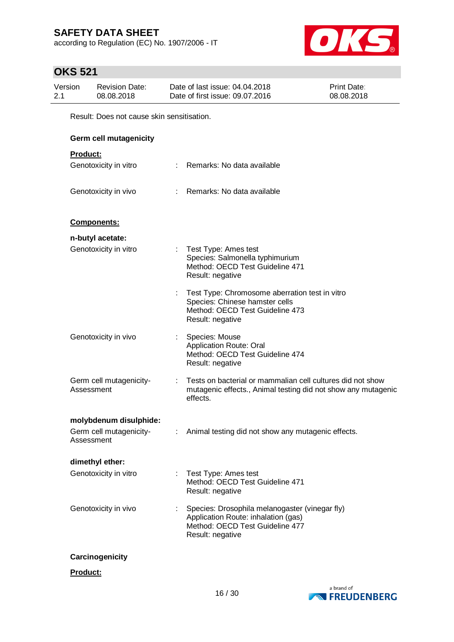according to Regulation (EC) No. 1907/2006 - IT



# **OKS 521**

| Version | <b>Revision Date:</b>                     | Date of last issue: 04.04.2018  | <b>Print Date:</b> |
|---------|-------------------------------------------|---------------------------------|--------------------|
| -2.1    | 08.08.2018                                | Date of first issue: 09.07.2016 | 08.08.2018         |
|         | Result: Does not cause skin sensitisation |                                 |                    |

Result: Does not cause skin sensitisation.

| <b>Germ cell mutagenicity</b>         |                               |                                                                                                                                              |
|---------------------------------------|-------------------------------|----------------------------------------------------------------------------------------------------------------------------------------------|
| <b>Product:</b>                       |                               |                                                                                                                                              |
| Genotoxicity in vitro                 |                               | : Remarks: No data available                                                                                                                 |
| Genotoxicity in vivo                  |                               | : Remarks: No data available                                                                                                                 |
| Components:                           |                               |                                                                                                                                              |
| n-butyl acetate:                      |                               |                                                                                                                                              |
| Genotoxicity in vitro                 |                               | : Test Type: Ames test<br>Species: Salmonella typhimurium<br>Method: OECD Test Guideline 471<br>Result: negative                             |
|                                       |                               | Test Type: Chromosome aberration test in vitro<br>Species: Chinese hamster cells<br>Method: OECD Test Guideline 473<br>Result: negative      |
| Genotoxicity in vivo                  |                               | Species: Mouse<br><b>Application Route: Oral</b><br>Method: OECD Test Guideline 474<br>Result: negative                                      |
| Germ cell mutagenicity-<br>Assessment |                               | Tests on bacterial or mammalian cell cultures did not show<br>mutagenic effects., Animal testing did not show any mutagenic<br>effects.      |
| molybdenum disulphide:                |                               |                                                                                                                                              |
| Germ cell mutagenicity-<br>Assessment | $\mathcal{I}^{\mathcal{I}}$ . | Animal testing did not show any mutagenic effects.                                                                                           |
| dimethyl ether:                       |                               |                                                                                                                                              |
| Genotoxicity in vitro                 |                               | Test Type: Ames test<br>Method: OECD Test Guideline 471<br>Result: negative                                                                  |
| Genotoxicity in vivo                  |                               | Species: Drosophila melanogaster (vinegar fly)<br>Application Route: inhalation (gas)<br>Method: OECD Test Guideline 477<br>Result: negative |
| Carcinogenicity                       |                               |                                                                                                                                              |

**Product:**

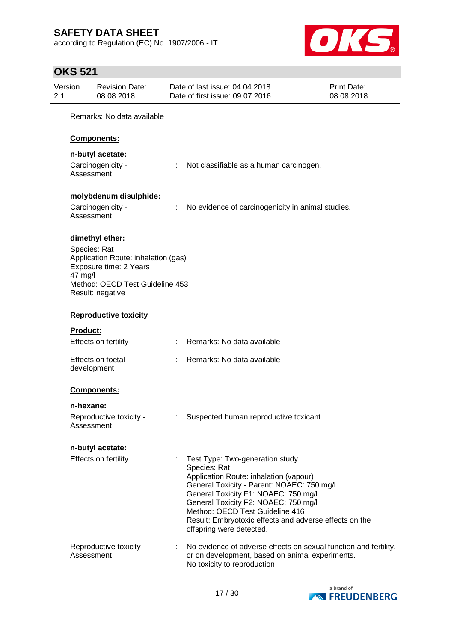according to Regulation (EC) No. 1907/2006 - IT



# **OKS 521**

| Version<br>2.1 | <b>Revision Date:</b><br>08.08.2018                                                                                                             |   | Date of last issue: 04.04.2018<br>Date of first issue: 09.07.2016                                                                                                                                                                                                                                                                                | Print Date:<br>08.08.2018 |
|----------------|-------------------------------------------------------------------------------------------------------------------------------------------------|---|--------------------------------------------------------------------------------------------------------------------------------------------------------------------------------------------------------------------------------------------------------------------------------------------------------------------------------------------------|---------------------------|
|                | Remarks: No data available                                                                                                                      |   |                                                                                                                                                                                                                                                                                                                                                  |                           |
|                | <b>Components:</b>                                                                                                                              |   |                                                                                                                                                                                                                                                                                                                                                  |                           |
|                | n-butyl acetate:                                                                                                                                |   |                                                                                                                                                                                                                                                                                                                                                  |                           |
|                | Carcinogenicity -<br>Assessment                                                                                                                 |   | Not classifiable as a human carcinogen.                                                                                                                                                                                                                                                                                                          |                           |
|                | molybdenum disulphide:                                                                                                                          |   |                                                                                                                                                                                                                                                                                                                                                  |                           |
|                | Carcinogenicity -<br>Assessment                                                                                                                 | ÷ | No evidence of carcinogenicity in animal studies.                                                                                                                                                                                                                                                                                                |                           |
|                | dimethyl ether:                                                                                                                                 |   |                                                                                                                                                                                                                                                                                                                                                  |                           |
|                | Species: Rat<br>Application Route: inhalation (gas)<br>Exposure time: 2 Years<br>47 mg/l<br>Method: OECD Test Guideline 453<br>Result: negative |   |                                                                                                                                                                                                                                                                                                                                                  |                           |
|                | <b>Reproductive toxicity</b>                                                                                                                    |   |                                                                                                                                                                                                                                                                                                                                                  |                           |
|                | <b>Product:</b>                                                                                                                                 |   |                                                                                                                                                                                                                                                                                                                                                  |                           |
|                | Effects on fertility                                                                                                                            |   | Remarks: No data available                                                                                                                                                                                                                                                                                                                       |                           |
|                | Effects on foetal<br>development                                                                                                                |   | Remarks: No data available                                                                                                                                                                                                                                                                                                                       |                           |
|                | Components:                                                                                                                                     |   |                                                                                                                                                                                                                                                                                                                                                  |                           |
|                | n-hexane:                                                                                                                                       |   |                                                                                                                                                                                                                                                                                                                                                  |                           |
|                | Reproductive toxicity -<br>Assessment                                                                                                           |   | Suspected human reproductive toxicant                                                                                                                                                                                                                                                                                                            |                           |
|                | n-butyl acetate:                                                                                                                                |   |                                                                                                                                                                                                                                                                                                                                                  |                           |
|                | Effects on fertility                                                                                                                            |   | Test Type: Two-generation study<br>Species: Rat<br>Application Route: inhalation (vapour)<br>General Toxicity - Parent: NOAEC: 750 mg/l<br>General Toxicity F1: NOAEC: 750 mg/l<br>General Toxicity F2: NOAEC: 750 mg/l<br>Method: OECD Test Guideline 416<br>Result: Embryotoxic effects and adverse effects on the<br>offspring were detected. |                           |
|                | Reproductive toxicity -<br>Assessment                                                                                                           |   | No evidence of adverse effects on sexual function and fertility,<br>or on development, based on animal experiments.<br>No toxicity to reproduction                                                                                                                                                                                               |                           |

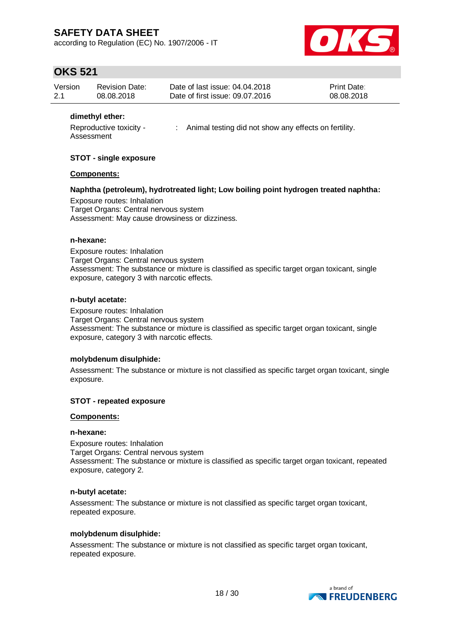according to Regulation (EC) No. 1907/2006 - IT



## **OKS 521**

| Version | <b>Revision Date:</b> | Date of last issue: 04.04.2018  | <b>Print Date:</b> |
|---------|-----------------------|---------------------------------|--------------------|
| 2.1     | 08.08.2018            | Date of first issue: 09.07.2016 | 08.08.2018         |

### **dimethyl ether:**

Reproductive toxicity - Assessment : Animal testing did not show any effects on fertility.

### **STOT - single exposure**

### **Components:**

### **Naphtha (petroleum), hydrotreated light; Low boiling point hydrogen treated naphtha:**

Exposure routes: Inhalation Target Organs: Central nervous system Assessment: May cause drowsiness or dizziness.

#### **n-hexane:**

Exposure routes: Inhalation Target Organs: Central nervous system Assessment: The substance or mixture is classified as specific target organ toxicant, single exposure, category 3 with narcotic effects.

#### **n-butyl acetate:**

Exposure routes: Inhalation Target Organs: Central nervous system Assessment: The substance or mixture is classified as specific target organ toxicant, single exposure, category 3 with narcotic effects.

### **molybdenum disulphide:**

Assessment: The substance or mixture is not classified as specific target organ toxicant, single exposure.

### **STOT - repeated exposure**

### **Components:**

#### **n-hexane:**

Exposure routes: Inhalation Target Organs: Central nervous system Assessment: The substance or mixture is classified as specific target organ toxicant, repeated exposure, category 2.

### **n-butyl acetate:**

Assessment: The substance or mixture is not classified as specific target organ toxicant, repeated exposure.

#### **molybdenum disulphide:**

Assessment: The substance or mixture is not classified as specific target organ toxicant, repeated exposure.

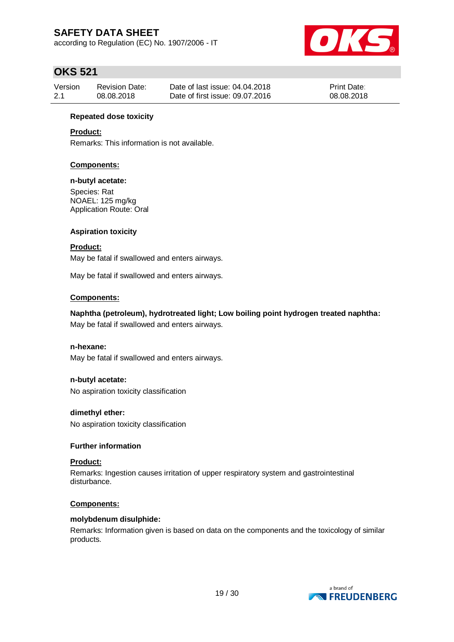according to Regulation (EC) No. 1907/2006 - IT



## **OKS 521**

| Version | <b>Revision Date:</b> | Date of last issue: 04.04.2018  | <b>Print Date:</b> |
|---------|-----------------------|---------------------------------|--------------------|
| -2.1    | 08.08.2018            | Date of first issue: 09.07.2016 | 08.08.2018         |

### **Repeated dose toxicity**

## **Product:**

Remarks: This information is not available.

## **Components:**

### **n-butyl acetate:**

Species: Rat NOAEL: 125 mg/kg Application Route: Oral

## **Aspiration toxicity**

## **Product:**

May be fatal if swallowed and enters airways.

May be fatal if swallowed and enters airways.

### **Components:**

## **Naphtha (petroleum), hydrotreated light; Low boiling point hydrogen treated naphtha:** May be fatal if swallowed and enters airways.

### **n-hexane:**

May be fatal if swallowed and enters airways.

### **n-butyl acetate:**

No aspiration toxicity classification

### **dimethyl ether:**

No aspiration toxicity classification

### **Further information**

### **Product:**

Remarks: Ingestion causes irritation of upper respiratory system and gastrointestinal disturbance.

### **Components:**

### **molybdenum disulphide:**

Remarks: Information given is based on data on the components and the toxicology of similar products.

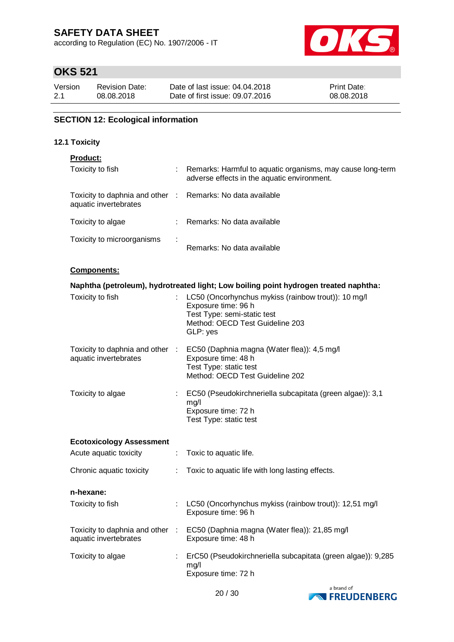according to Regulation (EC) No. 1907/2006 - IT



## **OKS 521**

| Version | <b>Revision Date:</b> | Date of last issue: 04.04.2018  | <b>Print Date:</b> |
|---------|-----------------------|---------------------------------|--------------------|
| 2.1     | 08.08.2018            | Date of first issue: 09.07.2016 | 08.08.2018         |

## **SECTION 12: Ecological information**

## **12.1 Toxicity**

## **Product:**

| Toxicity to fish                                         | ÷ | Remarks: Harmful to aquatic organisms, may cause long-term<br>adverse effects in the aquatic environment. |
|----------------------------------------------------------|---|-----------------------------------------------------------------------------------------------------------|
| Toxicity to daphnia and other :<br>aquatic invertebrates |   | Remarks: No data available                                                                                |
| Toxicity to algae                                        | ÷ | Remarks: No data available                                                                                |
| Toxicity to microorganisms                               | ÷ | Remarks: No data available                                                                                |

### **Components:**

|                                 |                           | Naphtha (petroleum), hydrotreated light; Low boiling point hydrogen treated naphtha:                                                                            |
|---------------------------------|---------------------------|-----------------------------------------------------------------------------------------------------------------------------------------------------------------|
| Toxicity to fish                |                           | LC50 (Oncorhynchus mykiss (rainbow trout)): 10 mg/l<br>Exposure time: 96 h<br>Test Type: semi-static test<br>Method: OECD Test Guideline 203<br>GLP: yes        |
| aquatic invertebrates           |                           | Toxicity to daphnia and other : EC50 (Daphnia magna (Water flea)): 4,5 mg/l<br>Exposure time: 48 h<br>Test Type: static test<br>Method: OECD Test Guideline 202 |
| Toxicity to algae               | $\mathbb{Z}^{\mathbb{Z}}$ | EC50 (Pseudokirchneriella subcapitata (green algae)): 3,1<br>mg/l<br>Exposure time: 72 h<br>Test Type: static test                                              |
| <b>Ecotoxicology Assessment</b> |                           |                                                                                                                                                                 |
| Acute aquatic toxicity          | ÷                         | Toxic to aquatic life.                                                                                                                                          |
| Chronic aquatic toxicity        | ÷.                        | Toxic to aquatic life with long lasting effects.                                                                                                                |
| n-hexane:                       |                           |                                                                                                                                                                 |
| Toxicity to fish                |                           | LC50 (Oncorhynchus mykiss (rainbow trout)): 12,51 mg/l<br>Exposure time: 96 h                                                                                   |
| aquatic invertebrates           |                           | Toxicity to daphnia and other : EC50 (Daphnia magna (Water flea)): 21,85 mg/l<br>Exposure time: 48 h                                                            |
| Toxicity to algae               | ÷.                        | ErC50 (Pseudokirchneriella subcapitata (green algae)): 9,285<br>mq/l<br>Exposure time: 72 h                                                                     |

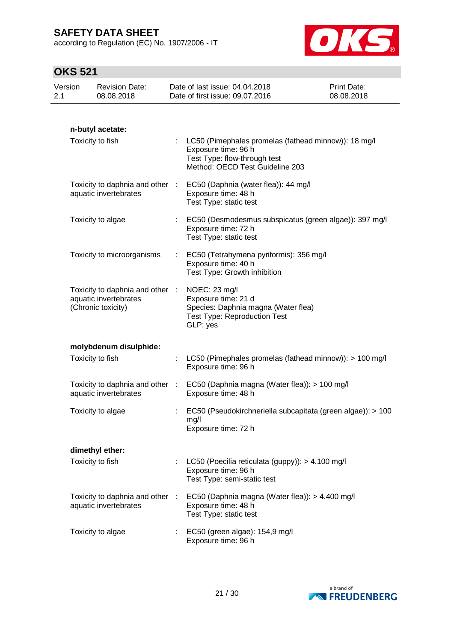according to Regulation (EC) No. 1907/2006 - IT



# **OKS 521**

| Version<br>2.1 | <b>Revision Date:</b><br>08.08.2018                                            |    | Date of last issue: 04.04.2018<br>Date of first issue: 09.07.2016                                                                                | Print Date:<br>08.08.2018 |
|----------------|--------------------------------------------------------------------------------|----|--------------------------------------------------------------------------------------------------------------------------------------------------|---------------------------|
|                |                                                                                |    |                                                                                                                                                  |                           |
|                | n-butyl acetate:                                                               |    |                                                                                                                                                  |                           |
|                | Toxicity to fish                                                               |    | : LC50 (Pimephales promelas (fathead minnow)): 18 mg/l<br>Exposure time: 96 h<br>Test Type: flow-through test<br>Method: OECD Test Guideline 203 |                           |
|                | Toxicity to daphnia and other :<br>aquatic invertebrates                       |    | EC50 (Daphnia (water flea)): 44 mg/l<br>Exposure time: 48 h<br>Test Type: static test                                                            |                           |
|                | Toxicity to algae                                                              |    | EC50 (Desmodesmus subspicatus (green algae)): 397 mg/l<br>Exposure time: 72 h<br>Test Type: static test                                          |                           |
|                | Toxicity to microorganisms                                                     |    | EC50 (Tetrahymena pyriformis): 356 mg/l<br>Exposure time: 40 h<br>Test Type: Growth inhibition                                                   |                           |
|                | Toxicity to daphnia and other :<br>aquatic invertebrates<br>(Chronic toxicity) |    | NOEC: 23 mg/l<br>Exposure time: 21 d<br>Species: Daphnia magna (Water flea)<br><b>Test Type: Reproduction Test</b><br>GLP: yes                   |                           |
|                | molybdenum disulphide:                                                         |    |                                                                                                                                                  |                           |
|                | Toxicity to fish                                                               | t, | LC50 (Pimephales promelas (fathead minnow)): > 100 mg/l<br>Exposure time: 96 h                                                                   |                           |
|                | Toxicity to daphnia and other :<br>aquatic invertebrates                       |    | EC50 (Daphnia magna (Water flea)): > 100 mg/l<br>Exposure time: 48 h                                                                             |                           |
|                | Toxicity to algae                                                              |    | EC50 (Pseudokirchneriella subcapitata (green algae)): > 100<br>mg/l<br>Exposure time: 72 h                                                       |                           |
|                | dimethyl ether:                                                                |    |                                                                                                                                                  |                           |
|                | Toxicity to fish                                                               |    | LC50 (Poecilia reticulata (guppy)): > 4.100 mg/l<br>Exposure time: 96 h<br>Test Type: semi-static test                                           |                           |
|                | Toxicity to daphnia and other<br>aquatic invertebrates                         |    | EC50 (Daphnia magna (Water flea)): > 4.400 mg/l<br>Exposure time: 48 h<br>Test Type: static test                                                 |                           |
|                | Toxicity to algae                                                              | ÷. | EC50 (green algae): 154,9 mg/l<br>Exposure time: 96 h                                                                                            |                           |

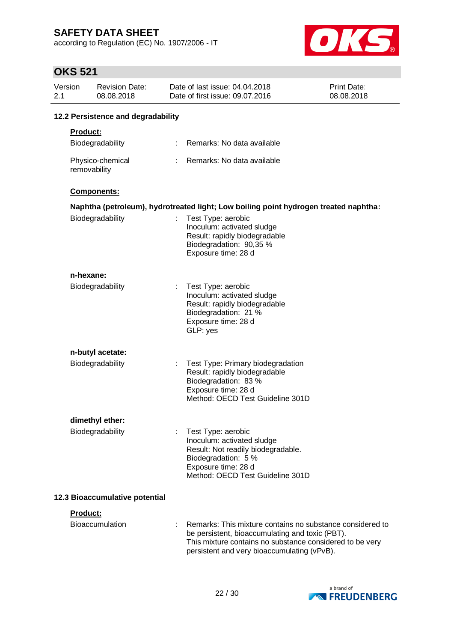according to Regulation (EC) No. 1907/2006 - IT



# $O(X \cap F)$

| <b>OKS 521</b> |                                     |   |                                                                                                                                                                                                                         |                                  |  |  |  |  |
|----------------|-------------------------------------|---|-------------------------------------------------------------------------------------------------------------------------------------------------------------------------------------------------------------------------|----------------------------------|--|--|--|--|
| Version<br>2.1 | <b>Revision Date:</b><br>08.08.2018 |   | Date of last issue: 04.04.2018<br>Date of first issue: 09.07.2016                                                                                                                                                       | <b>Print Date:</b><br>08.08.2018 |  |  |  |  |
|                | 12.2 Persistence and degradability  |   |                                                                                                                                                                                                                         |                                  |  |  |  |  |
|                | Product:                            |   |                                                                                                                                                                                                                         |                                  |  |  |  |  |
|                | Biodegradability                    |   | Remarks: No data available                                                                                                                                                                                              |                                  |  |  |  |  |
|                | Physico-chemical<br>removability    |   | Remarks: No data available                                                                                                                                                                                              |                                  |  |  |  |  |
|                | Components:                         |   |                                                                                                                                                                                                                         |                                  |  |  |  |  |
|                |                                     |   | Naphtha (petroleum), hydrotreated light; Low boiling point hydrogen treated naphtha:                                                                                                                                    |                                  |  |  |  |  |
|                | Biodegradability                    | ÷ | Test Type: aerobic<br>Inoculum: activated sludge<br>Result: rapidly biodegradable<br>Biodegradation: 90,35 %<br>Exposure time: 28 d                                                                                     |                                  |  |  |  |  |
|                | n-hexane:                           |   |                                                                                                                                                                                                                         |                                  |  |  |  |  |
|                | Biodegradability                    | ÷ | Test Type: aerobic<br>Inoculum: activated sludge<br>Result: rapidly biodegradable<br>Biodegradation: 21 %<br>Exposure time: 28 d<br>GLP: yes                                                                            |                                  |  |  |  |  |
|                | n-butyl acetate:                    |   |                                                                                                                                                                                                                         |                                  |  |  |  |  |
|                | Biodegradability                    |   | Test Type: Primary biodegradation<br>Result: rapidly biodegradable<br>Biodegradation: 83 %<br>Exposure time: 28 d<br>Method: OECD Test Guideline 301D                                                                   |                                  |  |  |  |  |
|                | dimethyl ether:                     |   |                                                                                                                                                                                                                         |                                  |  |  |  |  |
|                | Biodegradability                    | ÷ | Test Type: aerobic<br>Inoculum: activated sludge<br>Result: Not readily biodegradable.<br>Biodegradation: 5 %<br>Exposure time: 28 d<br>Method: OECD Test Guideline 301D                                                |                                  |  |  |  |  |
|                | 12.3 Bioaccumulative potential      |   |                                                                                                                                                                                                                         |                                  |  |  |  |  |
|                | Product:                            |   |                                                                                                                                                                                                                         |                                  |  |  |  |  |
|                | <b>Bioaccumulation</b>              |   | Remarks: This mixture contains no substance considered to<br>be persistent, bioaccumulating and toxic (PBT).<br>This mixture contains no substance considered to be very<br>persistent and very bioaccumulating (vPvB). |                                  |  |  |  |  |

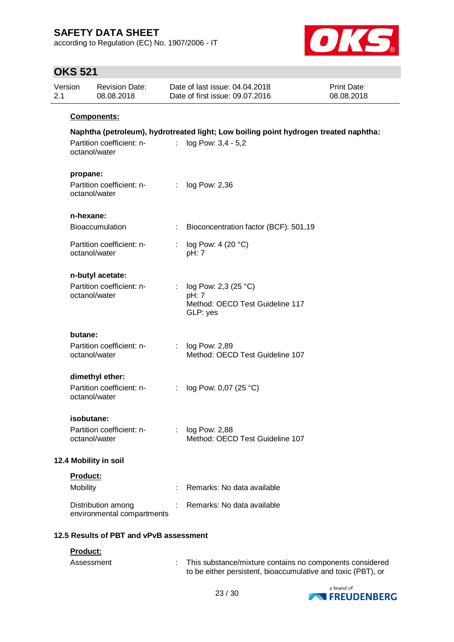according to Regulation (EC) No. 1907/2006 - IT



# **OKS 521**

| 2.1                                                    | Version                                 | <b>Revision Date:</b><br>08.08.2018              |               | Date of last issue: 04.04.2018<br>Date of first issue: 09.07.2016                                          | <b>Print Date:</b><br>08.08.2018 |  |
|--------------------------------------------------------|-----------------------------------------|--------------------------------------------------|---------------|------------------------------------------------------------------------------------------------------------|----------------------------------|--|
|                                                        |                                         | Components:                                      |               |                                                                                                            |                                  |  |
|                                                        |                                         | Partition coefficient: n-<br>octanol/water       | t.            | Naphtha (petroleum), hydrotreated light; Low boiling point hydrogen treated naphtha:<br>log Pow: 3,4 - 5,2 |                                  |  |
| propane:<br>Partition coefficient: n-<br>octanol/water |                                         | ÷                                                | log Pow: 2,36 |                                                                                                            |                                  |  |
|                                                        | n-hexane:                               |                                                  |               |                                                                                                            |                                  |  |
|                                                        |                                         | <b>Bioaccumulation</b>                           | ÷             | Bioconcentration factor (BCF): 501,19                                                                      |                                  |  |
|                                                        |                                         | Partition coefficient: n-<br>octanol/water       | ÷             | log Pow: 4 (20 °C)<br>pH: 7                                                                                |                                  |  |
|                                                        |                                         | n-butyl acetate:                                 |               |                                                                                                            |                                  |  |
|                                                        |                                         | Partition coefficient: n-<br>octanol/water       | ÷             | log Pow: 2,3 (25 °C)<br>pH: 7<br>Method: OECD Test Guideline 117<br>GLP: yes                               |                                  |  |
|                                                        | butane:                                 |                                                  |               |                                                                                                            |                                  |  |
|                                                        |                                         | Partition coefficient: n-<br>octanol/water       | ÷.            | log Pow: 2,89<br>Method: OECD Test Guideline 107                                                           |                                  |  |
|                                                        |                                         | dimethyl ether:                                  |               |                                                                                                            |                                  |  |
|                                                        |                                         | Partition coefficient: n-<br>octanol/water       | ÷             | log Pow: 0,07 (25 °C)                                                                                      |                                  |  |
|                                                        | isobutane:                              |                                                  |               |                                                                                                            |                                  |  |
|                                                        |                                         | Partition coefficient: n-<br>octanol/water       |               | log Pow: 2,88<br>Method: OECD Test Guideline 107                                                           |                                  |  |
|                                                        |                                         | 12.4 Mobility in soil                            |               |                                                                                                            |                                  |  |
|                                                        | Product:                                |                                                  |               |                                                                                                            |                                  |  |
|                                                        | Mobility                                |                                                  | t             | Remarks: No data available                                                                                 |                                  |  |
|                                                        |                                         | Distribution among<br>environmental compartments |               | Remarks: No data available                                                                                 |                                  |  |
|                                                        | 12.5 Results of PBT and vPvB assessment |                                                  |               |                                                                                                            |                                  |  |
|                                                        |                                         | Product:                                         |               |                                                                                                            |                                  |  |

| Assessment | This substance/mixture contains no components considered     |
|------------|--------------------------------------------------------------|
|            | to be either persistent, bioaccumulative and toxic (PBT), or |

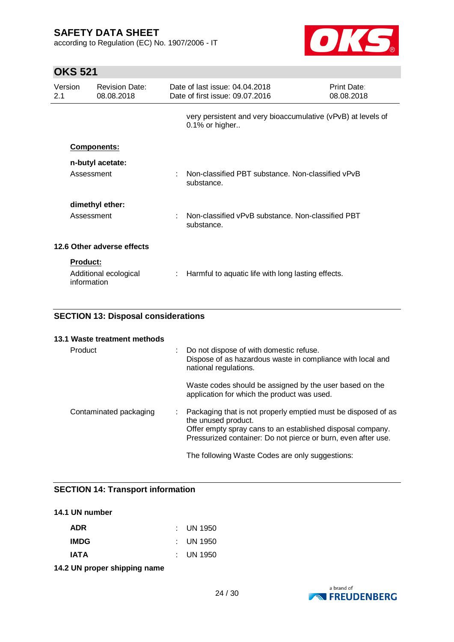according to Regulation (EC) No. 1907/2006 - IT



# **OKS 521**

| Version<br>2.1          | <b>Revision Date:</b><br>08.08.2018 |    | Date of last issue: 04.04.2018<br>Date of first issue: 09.07.2016                 | Print Date:<br>08.08.2018 |  |
|-------------------------|-------------------------------------|----|-----------------------------------------------------------------------------------|---------------------------|--|
|                         |                                     |    | very persistent and very bioaccumulative (vPvB) at levels of<br>$0.1\%$ or higher |                           |  |
|                         | <b>Components:</b>                  |    |                                                                                   |                           |  |
|                         | n-butyl acetate:                    |    |                                                                                   |                           |  |
| Assessment              |                                     | t. | Non-classified PBT substance. Non-classified vPvB<br>substance.                   |                           |  |
|                         | dimethyl ether:                     |    |                                                                                   |                           |  |
| Assessment              |                                     | ÷  | Non-classified vPvB substance. Non-classified PBT<br>substance.                   |                           |  |
|                         | 12.6 Other adverse effects          |    |                                                                                   |                           |  |
| Product:<br>information | Additional ecological               |    | Harmful to aquatic life with long lasting effects.                                |                           |  |

## **SECTION 13: Disposal considerations**

| 13.1 Waste treatment methods |                                                                                                                                                                                                                     |
|------------------------------|---------------------------------------------------------------------------------------------------------------------------------------------------------------------------------------------------------------------|
| Product                      | Do not dispose of with domestic refuse.<br>Dispose of as hazardous waste in compliance with local and<br>national regulations.                                                                                      |
|                              | Waste codes should be assigned by the user based on the<br>application for which the product was used.                                                                                                              |
| Contaminated packaging       | Packaging that is not properly emptied must be disposed of as<br>the unused product.<br>Offer empty spray cans to an established disposal company.<br>Pressurized container: Do not pierce or burn, even after use. |
|                              | The following Waste Codes are only suggestions:                                                                                                                                                                     |

## **SECTION 14: Transport information**

### **14.1 UN number**

| <b>ADR</b>  | : UN 1950            |
|-------------|----------------------|
| <b>IMDG</b> | : UN 1950            |
| <b>IATA</b> | $\therefore$ UN 1950 |

**14.2 UN proper shipping name**

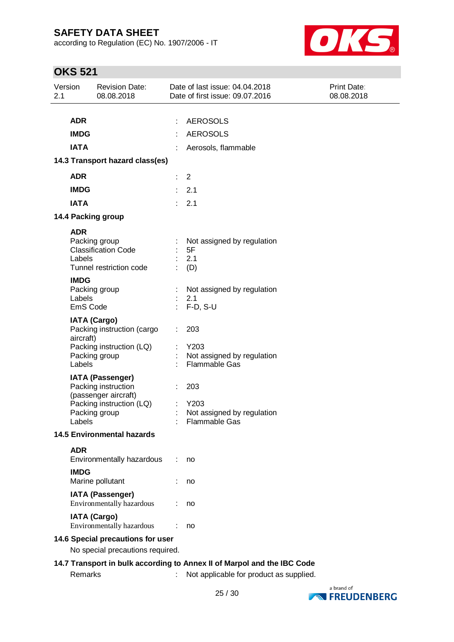according to Regulation (EC) No. 1907/2006 - IT



# **OKS 521**

| Version<br>2.1                    |                                          | <b>Revision Date:</b><br>08.08.2018                                                                                 | Date of last issue: 04.04.2018<br>Date of first issue: 09.07.2016                                                  | <b>Print Date:</b><br>08.08.2018 |
|-----------------------------------|------------------------------------------|---------------------------------------------------------------------------------------------------------------------|--------------------------------------------------------------------------------------------------------------------|----------------------------------|
|                                   | <b>ADR</b><br><b>IMDG</b><br><b>IATA</b> |                                                                                                                     | <b>AEROSOLS</b><br>÷<br><b>AEROSOLS</b><br>Aerosols, flammable                                                     |                                  |
|                                   |                                          | 14.3 Transport hazard class(es)                                                                                     |                                                                                                                    |                                  |
|                                   | <b>ADR</b>                               |                                                                                                                     | 2<br>÷                                                                                                             |                                  |
|                                   | <b>IMDG</b>                              |                                                                                                                     | 2.1                                                                                                                |                                  |
|                                   | <b>IATA</b>                              |                                                                                                                     | 2.1                                                                                                                |                                  |
|                                   |                                          | 14.4 Packing group                                                                                                  |                                                                                                                    |                                  |
|                                   | <b>ADR</b><br>Labels                     | Packing group<br><b>Classification Code</b><br>Tunnel restriction code                                              | Not assigned by regulation<br>5F<br>2.1<br>(D)                                                                     |                                  |
|                                   | <b>IMDG</b><br>Labels<br>EmS Code        | Packing group                                                                                                       | Not assigned by regulation<br>2.1<br>F-D, S-U                                                                      |                                  |
|                                   | aircraft)<br>Labels                      | <b>IATA (Cargo)</b><br>Packing instruction (cargo<br>Packing instruction (LQ)<br>Packing group                      | 203<br>Y203<br>Not assigned by regulation<br>Flammable Gas                                                         |                                  |
|                                   | Labels                                   | <b>IATA (Passenger)</b><br>Packing instruction<br>(passenger aircraft)<br>Packing instruction (LQ)<br>Packing group | 203<br>Y203<br>Not assigned by regulation<br>Flammable Gas                                                         |                                  |
|                                   |                                          | <b>14.5 Environmental hazards</b>                                                                                   |                                                                                                                    |                                  |
|                                   | <b>ADR</b>                               | Environmentally hazardous                                                                                           | no                                                                                                                 |                                  |
|                                   | <b>IMDG</b>                              | Marine pollutant                                                                                                    | no                                                                                                                 |                                  |
|                                   |                                          | <b>IATA (Passenger)</b><br>Environmentally hazardous                                                                | no                                                                                                                 |                                  |
|                                   |                                          | <b>IATA (Cargo)</b><br>Environmentally hazardous                                                                    | no                                                                                                                 |                                  |
| 14.6 Special precautions for user |                                          |                                                                                                                     |                                                                                                                    |                                  |
|                                   |                                          | No special precautions required.                                                                                    |                                                                                                                    |                                  |
|                                   | Remarks                                  |                                                                                                                     | 14.7 Transport in bulk according to Annex II of Marpol and the IBC Code<br>Not applicable for product as supplied. |                                  |

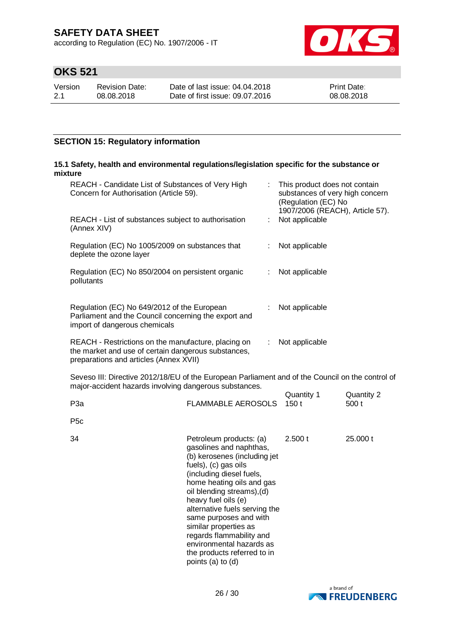according to Regulation (EC) No. 1907/2006 - IT



# **OKS 521**

| Version | <b>Revision Date:</b> |
|---------|-----------------------|
| 2.1     | 08.08.2018            |

Date of last issue: 04.04.2018 Date of first issue: 09.07.2016 Print Date: 08.08.2018

## **SECTION 15: Regulatory information**

## **15.1 Safety, health and environmental regulations/legislation specific for the substance or mixture**

| REACH - Candidate List of Substances of Very High<br>Concern for Authorisation (Article 59).                                                               |                           |    | This product does not contain<br>substances of very high concern<br>(Regulation (EC) No<br>1907/2006 (REACH), Article 57). |                     |  |
|------------------------------------------------------------------------------------------------------------------------------------------------------------|---------------------------|----|----------------------------------------------------------------------------------------------------------------------------|---------------------|--|
| REACH - List of substances subject to authorisation<br>(Annex XIV)                                                                                         |                           | ÷. | Not applicable                                                                                                             |                     |  |
| Regulation (EC) No 1005/2009 on substances that<br>deplete the ozone layer                                                                                 |                           |    | Not applicable                                                                                                             |                     |  |
| Regulation (EC) No 850/2004 on persistent organic<br>pollutants                                                                                            |                           |    | Not applicable                                                                                                             |                     |  |
| Regulation (EC) No 649/2012 of the European<br>Parliament and the Council concerning the export and<br>import of dangerous chemicals                       |                           |    | Not applicable                                                                                                             |                     |  |
| REACH - Restrictions on the manufacture, placing on<br>the market and use of certain dangerous substances,<br>preparations and articles (Annex XVII)       |                           |    | Not applicable                                                                                                             |                     |  |
| Seveso III: Directive 2012/18/EU of the European Parliament and of the Council on the control of<br>major-accident hazards involving dangerous substances. |                           |    |                                                                                                                            |                     |  |
| P <sub>3</sub> a                                                                                                                                           | <b>FLAMMABLE AEROSOLS</b> |    | Quantity 1<br>150t                                                                                                         | Quantity 2<br>500 t |  |
| P <sub>5</sub> c                                                                                                                                           |                           |    |                                                                                                                            |                     |  |

| 34 | Petroleum products: (a)<br>gasolines and naphthas,<br>(b) kerosenes (including jet<br>fuels), (c) gas oils<br>(including diesel fuels,<br>home heating oils and gas<br>oil blending streams), (d)<br>heavy fuel oils (e)<br>alternative fuels serving the<br>same purposes and with | 2.500 t | 25,000 t |
|----|-------------------------------------------------------------------------------------------------------------------------------------------------------------------------------------------------------------------------------------------------------------------------------------|---------|----------|
|    | similar properties as<br>regards flammability and                                                                                                                                                                                                                                   |         |          |
|    | environmental hazards as<br>the products referred to in<br>points (a) to (d)                                                                                                                                                                                                        |         |          |

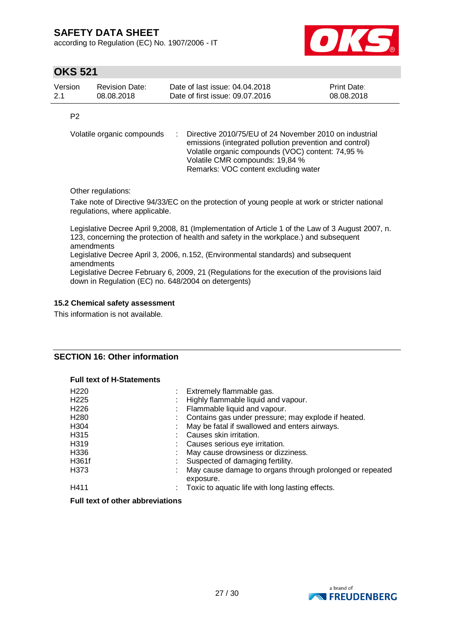according to Regulation (EC) No. 1907/2006 - IT



## **OKS 521**

| Version | Revision Date: | Date of last issue: 04.04.2018  | <b>Print Date:</b> |
|---------|----------------|---------------------------------|--------------------|
| 2.1     | 08.08.2018     | Date of first issue: 09.07.2016 | 08.08.2018         |

P2

Volatile organic compounds : Directive 2010/75/EU of 24 November 2010 on industrial emissions (integrated pollution prevention and control) Volatile organic compounds (VOC) content: 74,95 % Volatile CMR compounds: 19,84 % Remarks: VOC content excluding water

Other regulations:

Take note of Directive 94/33/EC on the protection of young people at work or stricter national regulations, where applicable.

Legislative Decree April 9,2008, 81 (Implementation of Article 1 of the Law of 3 August 2007, n. 123, concerning the protection of health and safety in the workplace.) and subsequent amendments

Legislative Decree April 3, 2006, n.152, (Environmental standards) and subsequent amendments

Legislative Decree February 6, 2009, 21 (Regulations for the execution of the provisions laid down in Regulation (EC) no. 648/2004 on detergents)

## **15.2 Chemical safety assessment**

This information is not available.

## **SECTION 16: Other information**

### **Full text of H-Statements**

| H <sub>220</sub>       | Extremely flammable gas.                                              |
|------------------------|-----------------------------------------------------------------------|
| H <sub>225</sub><br>×. | Highly flammable liquid and vapour.                                   |
| H <sub>226</sub>       | Flammable liquid and vapour.                                          |
| H <sub>280</sub>       | Contains gas under pressure; may explode if heated.                   |
| H304                   | May be fatal if swallowed and enters airways.                         |
| H315                   | Causes skin irritation.                                               |
| H319                   | Causes serious eye irritation.                                        |
| H336                   | May cause drowsiness or dizziness.                                    |
| H361f                  | Suspected of damaging fertility.                                      |
| H373<br>÷              | May cause damage to organs through prolonged or repeated<br>exposure. |
| H411<br>÷.             | Toxic to aquatic life with long lasting effects.                      |

## **Full text of other abbreviations**

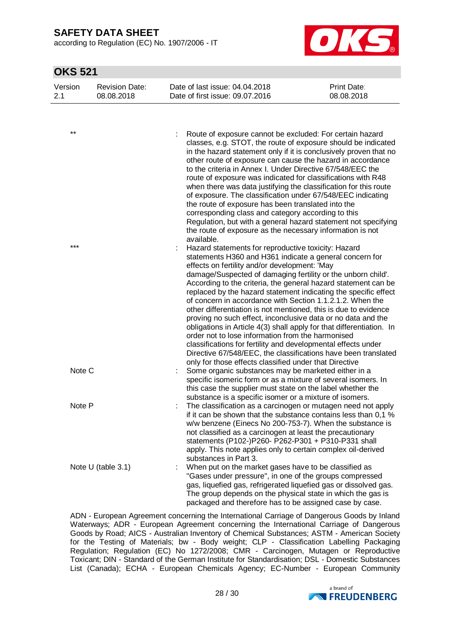according to Regulation (EC) No. 1907/2006 - IT



## **OKS 521**

| Version<br>2.1 | <b>Revision Date:</b><br>08.08.2018 | Date of last issue: 04.04.2018<br>Date of first issue: 09.07.2016                                                                                                                                                                                                                                                                                                                                                                                                                                                                                                                                                                                                                                                                                                                                                                                                                              | <b>Print Date:</b><br>08.08.2018 |
|----------------|-------------------------------------|------------------------------------------------------------------------------------------------------------------------------------------------------------------------------------------------------------------------------------------------------------------------------------------------------------------------------------------------------------------------------------------------------------------------------------------------------------------------------------------------------------------------------------------------------------------------------------------------------------------------------------------------------------------------------------------------------------------------------------------------------------------------------------------------------------------------------------------------------------------------------------------------|----------------------------------|
|                |                                     |                                                                                                                                                                                                                                                                                                                                                                                                                                                                                                                                                                                                                                                                                                                                                                                                                                                                                                |                                  |
| $***$          |                                     | Route of exposure cannot be excluded: For certain hazard<br>classes, e.g. STOT, the route of exposure should be indicated<br>in the hazard statement only if it is conclusively proven that no<br>other route of exposure can cause the hazard in accordance<br>to the criteria in Annex I. Under Directive 67/548/EEC the<br>route of exposure was indicated for classifications with R48<br>when there was data justifying the classification for this route<br>of exposure. The classification under 67/548/EEC indicating<br>the route of exposure has been translated into the<br>corresponding class and category according to this<br>Regulation, but with a general hazard statement not specifying<br>the route of exposure as the necessary information is not<br>available.                                                                                                         |                                  |
| $***$          |                                     | Hazard statements for reproductive toxicity: Hazard<br>statements H360 and H361 indicate a general concern for<br>effects on fertility and/or development: 'May<br>damage/Suspected of damaging fertility or the unborn child'.<br>According to the criteria, the general hazard statement can be<br>replaced by the hazard statement indicating the specific effect<br>of concern in accordance with Section 1.1.2.1.2. When the<br>other differentiation is not mentioned, this is due to evidence<br>proving no such effect, inconclusive data or no data and the<br>obligations in Article 4(3) shall apply for that differentiation. In<br>order not to lose information from the harmonised<br>classifications for fertility and developmental effects under<br>Directive 67/548/EEC, the classifications have been translated<br>only for those effects classified under that Directive |                                  |
| Note C         |                                     | Some organic substances may be marketed either in a<br>specific isomeric form or as a mixture of several isomers. In<br>this case the supplier must state on the label whether the<br>substance is a specific isomer or a mixture of isomers.                                                                                                                                                                                                                                                                                                                                                                                                                                                                                                                                                                                                                                                  |                                  |
| Note P         |                                     | The classification as a carcinogen or mutagen need not apply<br>if it can be shown that the substance contains less than 0,1 %<br>w/w benzene (Einecs No 200-753-7). When the substance is<br>not classified as a carcinogen at least the precautionary<br>statements (P102-)P260- P262-P301 + P310-P331 shall<br>apply. This note applies only to certain complex oil-derived<br>substances in Part 3.                                                                                                                                                                                                                                                                                                                                                                                                                                                                                        |                                  |
|                | Note U (table 3.1)                  | When put on the market gases have to be classified as<br>"Gases under pressure", in one of the groups compressed<br>gas, liquefied gas, refrigerated liquefied gas or dissolved gas.<br>The group depends on the physical state in which the gas is<br>packaged and therefore has to be assigned case by case.                                                                                                                                                                                                                                                                                                                                                                                                                                                                                                                                                                                 |                                  |

ADN - European Agreement concerning the International Carriage of Dangerous Goods by Inland Waterways; ADR - European Agreement concerning the International Carriage of Dangerous Goods by Road; AICS - Australian Inventory of Chemical Substances; ASTM - American Society for the Testing of Materials; bw - Body weight; CLP - Classification Labelling Packaging Regulation; Regulation (EC) No 1272/2008; CMR - Carcinogen, Mutagen or Reproductive Toxicant; DIN - Standard of the German Institute for Standardisation; DSL - Domestic Substances List (Canada); ECHA - European Chemicals Agency; EC-Number - European Community

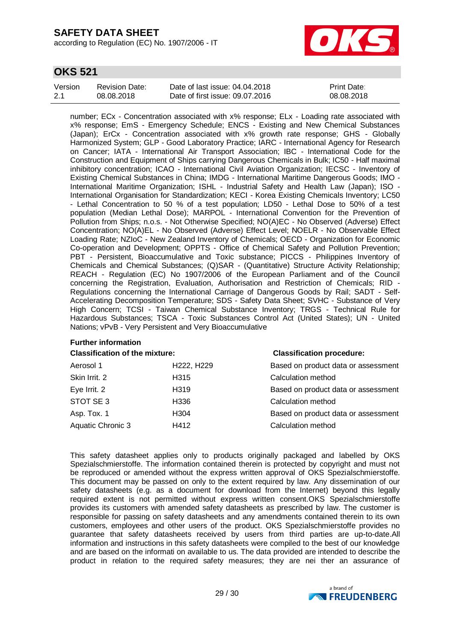according to Regulation (EC) No. 1907/2006 - IT



## **OKS 521**

| Version | Revision Date: | Date of last issue: 04.04.2018  | <b>Print Date:</b> |
|---------|----------------|---------------------------------|--------------------|
| 2.1     | 08.08.2018     | Date of first issue: 09.07.2016 | 08.08.2018         |

number; ECx - Concentration associated with x% response; ELx - Loading rate associated with x% response; EmS - Emergency Schedule; ENCS - Existing and New Chemical Substances (Japan); ErCx - Concentration associated with x% growth rate response; GHS - Globally Harmonized System; GLP - Good Laboratory Practice; IARC - International Agency for Research on Cancer; IATA - International Air Transport Association; IBC - International Code for the Construction and Equipment of Ships carrying Dangerous Chemicals in Bulk; IC50 - Half maximal inhibitory concentration; ICAO - International Civil Aviation Organization; IECSC - Inventory of Existing Chemical Substances in China; IMDG - International Maritime Dangerous Goods; IMO - International Maritime Organization; ISHL - Industrial Safety and Health Law (Japan); ISO - International Organisation for Standardization; KECI - Korea Existing Chemicals Inventory; LC50 - Lethal Concentration to 50 % of a test population; LD50 - Lethal Dose to 50% of a test population (Median Lethal Dose); MARPOL - International Convention for the Prevention of Pollution from Ships; n.o.s. - Not Otherwise Specified; NO(A)EC - No Observed (Adverse) Effect Concentration; NO(A)EL - No Observed (Adverse) Effect Level; NOELR - No Observable Effect Loading Rate; NZIoC - New Zealand Inventory of Chemicals; OECD - Organization for Economic Co-operation and Development; OPPTS - Office of Chemical Safety and Pollution Prevention; PBT - Persistent, Bioaccumulative and Toxic substance; PICCS - Philippines Inventory of Chemicals and Chemical Substances; (Q)SAR - (Quantitative) Structure Activity Relationship; REACH - Regulation (EC) No 1907/2006 of the European Parliament and of the Council concerning the Registration, Evaluation, Authorisation and Restriction of Chemicals; RID - Regulations concerning the International Carriage of Dangerous Goods by Rail; SADT - Self-Accelerating Decomposition Temperature; SDS - Safety Data Sheet; SVHC - Substance of Very High Concern; TCSI - Taiwan Chemical Substance Inventory; TRGS - Technical Rule for Hazardous Substances; TSCA - Toxic Substances Control Act (United States); UN - United Nations; vPvB - Very Persistent and Very Bioaccumulative

#### **Further information**

| <b>Classification of the mixture:</b> |                  | <b>Classification procedure:</b>    |  |  |
|---------------------------------------|------------------|-------------------------------------|--|--|
| Aerosol 1                             | H222, H229       | Based on product data or assessment |  |  |
| Skin Irrit. 2                         | H315             | Calculation method                  |  |  |
| Eye Irrit. 2                          | H <sub>319</sub> | Based on product data or assessment |  |  |
| STOT SE 3                             | H336             | Calculation method                  |  |  |
| Asp. Tox. 1                           | H304             | Based on product data or assessment |  |  |
| Aquatic Chronic 3                     | H412             | Calculation method                  |  |  |
|                                       |                  |                                     |  |  |

This safety datasheet applies only to products originally packaged and labelled by OKS Spezialschmierstoffe. The information contained therein is protected by copyright and must not be reproduced or amended without the express written approval of OKS Spezialschmierstoffe. This document may be passed on only to the extent required by law. Any dissemination of our safety datasheets (e.g. as a document for download from the Internet) beyond this legally required extent is not permitted without express written consent.OKS Spezialschmierstoffe provides its customers with amended safety datasheets as prescribed by law. The customer is responsible for passing on safety datasheets and any amendments contained therein to its own customers, employees and other users of the product. OKS Spezialschmierstoffe provides no guarantee that safety datasheets received by users from third parties are up-to-date.All information and instructions in this safety datasheets were compiled to the best of our knowledge and are based on the informati on available to us. The data provided are intended to describe the product in relation to the required safety measures; they are nei ther an assurance of